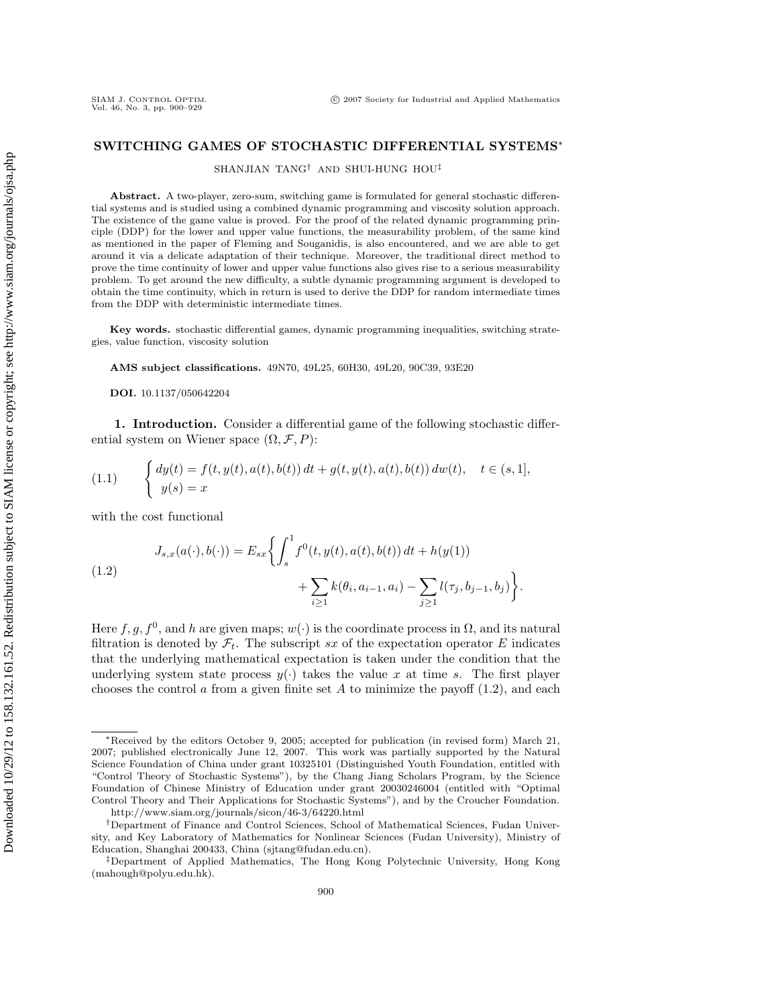## **SWITCHING GAMES OF STOCHASTIC DIFFERENTIAL SYSTEMS**<sup>∗</sup>

SHANJIAN TANG† AND SHUI-HUNG HOU‡

**Abstract.** A two-player, zero-sum, switching game is formulated for general stochastic differential systems and is studied using a combined dynamic programming and viscosity solution approach. The existence of the game value is proved. For the proof of the related dynamic programming principle (DDP) for the lower and upper value functions, the measurability problem, of the same kind as mentioned in the paper of Fleming and Souganidis, is also encountered, and we are able to get around it via a delicate adaptation of their technique. Moreover, the traditional direct method to prove the time continuity of lower and upper value functions also gives rise to a serious measurability problem. To get around the new difficulty, a subtle dynamic programming argument is developed to obtain the time continuity, which in return is used to derive the DDP for random intermediate times from the DDP with deterministic intermediate times.

**Key words.** stochastic differential games, dynamic programming inequalities, switching strategies, value function, viscosity solution

**AMS subject classifications.** 49N70, 49L25, 60H30, 49L20, 90C39, 93E20

**DOI.** 10.1137/050642204

**1. Introduction.** Consider a differential game of the following stochastic differential system on Wiener space  $(\Omega, \mathcal{F}, P)$ :

(1.1) 
$$
\begin{cases} dy(t) = f(t, y(t), a(t), b(t)) dt + g(t, y(t), a(t), b(t)) dw(t), \quad t \in (s, 1], \\ y(s) = x \end{cases}
$$

with the cost functional

(1.2) 
$$
J_{s,x}(a(\cdot),b(\cdot)) = E_{sx} \bigg\{ \int_s^1 f^0(t,y(t),a(t),b(t)) dt + h(y(1)) + \sum_{i\geq 1} k(\theta_i,a_{i-1},a_i) - \sum_{j\geq 1} l(\tau_j,b_{j-1},b_j) \bigg\}.
$$

Here f, g,  $f^0$ , and h are given maps;  $w(\cdot)$  is the coordinate process in  $\Omega$ , and its natural filtration is denoted by  $\mathcal{F}_t$ . The subscript sx of the expectation operator E indicates that the underlying mathematical expectation is taken under the condition that the underlying system state process  $y(\cdot)$  takes the value x at time s. The first player chooses the control  $\alpha$  from a given finite set  $A$  to minimize the payoff  $(1.2)$ , and each

<sup>∗</sup>Received by the editors October 9, 2005; accepted for publication (in revised form) March 21, 2007; published electronically June 12, 2007. This work was partially supported by the Natural Science Foundation of China under grant 10325101 (Distinguished Youth Foundation, entitled with "Control Theory of Stochastic Systems"), by the Chang Jiang Scholars Program, by the Science Foundation of Chinese Ministry of Education under grant 20030246004 (entitled with "Optimal Control Theory and Their Applications for Stochastic Systems"), and by the Croucher Foundation.

http://www.siam.org/journals/sicon/46-3/64220.html

<sup>†</sup>Department of Finance and Control Sciences, School of Mathematical Sciences, Fudan University, and Key Laboratory of Mathematics for Nonlinear Sciences (Fudan University), Ministry of Education, Shanghai 200433, China (sjtang@fudan.edu.cn).

<sup>‡</sup>Department of Applied Mathematics, The Hong Kong Polytechnic University, Hong Kong (mahough@polyu.edu.hk).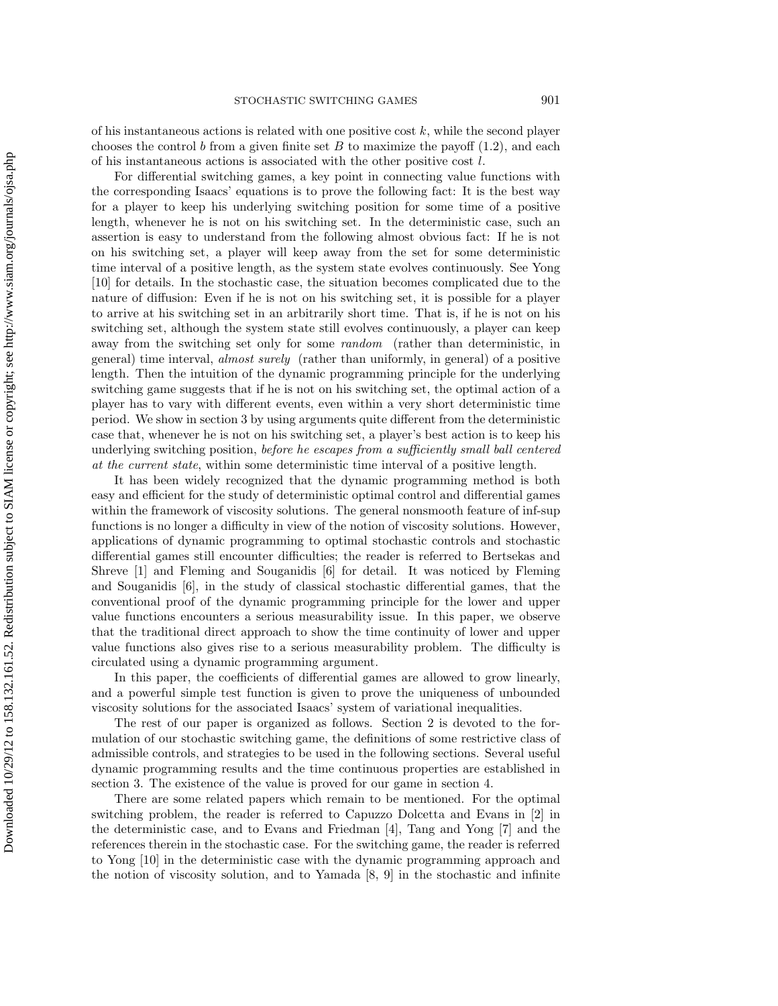of his instantaneous actions is related with one positive cost  $k$ , while the second player chooses the control b from a given finite set B to maximize the payoff  $(1.2)$ , and each of his instantaneous actions is associated with the other positive cost l.

For differential switching games, a key point in connecting value functions with the corresponding Isaacs' equations is to prove the following fact: It is the best way for a player to keep his underlying switching position for some time of a positive length, whenever he is not on his switching set. In the deterministic case, such an assertion is easy to understand from the following almost obvious fact: If he is not on his switching set, a player will keep away from the set for some deterministic time interval of a positive length, as the system state evolves continuously. See Yong [10] for details. In the stochastic case, the situation becomes complicated due to the nature of diffusion: Even if he is not on his switching set, it is possible for a player to arrive at his switching set in an arbitrarily short time. That is, if he is not on his switching set, although the system state still evolves continuously, a player can keep away from the switching set only for some random (rather than deterministic, in general) time interval, almost surely (rather than uniformly, in general) of a positive length. Then the intuition of the dynamic programming principle for the underlying switching game suggests that if he is not on his switching set, the optimal action of a player has to vary with different events, even within a very short deterministic time period. We show in section 3 by using arguments quite different from the deterministic case that, whenever he is not on his switching set, a player's best action is to keep his underlying switching position, before he escapes from a sufficiently small ball centered at the current state, within some deterministic time interval of a positive length.

It has been widely recognized that the dynamic programming method is both easy and efficient for the study of deterministic optimal control and differential games within the framework of viscosity solutions. The general nonsmooth feature of inf-sup functions is no longer a difficulty in view of the notion of viscosity solutions. However, applications of dynamic programming to optimal stochastic controls and stochastic differential games still encounter difficulties; the reader is referred to Bertsekas and Shreve [1] and Fleming and Souganidis [6] for detail. It was noticed by Fleming and Souganidis [6], in the study of classical stochastic differential games, that the conventional proof of the dynamic programming principle for the lower and upper value functions encounters a serious measurability issue. In this paper, we observe that the traditional direct approach to show the time continuity of lower and upper value functions also gives rise to a serious measurability problem. The difficulty is circulated using a dynamic programming argument.

In this paper, the coefficients of differential games are allowed to grow linearly, and a powerful simple test function is given to prove the uniqueness of unbounded viscosity solutions for the associated Isaacs' system of variational inequalities.

The rest of our paper is organized as follows. Section 2 is devoted to the formulation of our stochastic switching game, the definitions of some restrictive class of admissible controls, and strategies to be used in the following sections. Several useful dynamic programming results and the time continuous properties are established in section 3. The existence of the value is proved for our game in section 4.

There are some related papers which remain to be mentioned. For the optimal switching problem, the reader is referred to Capuzzo Dolcetta and Evans in [2] in the deterministic case, and to Evans and Friedman [4], Tang and Yong [7] and the references therein in the stochastic case. For the switching game, the reader is referred to Yong [10] in the deterministic case with the dynamic programming approach and the notion of viscosity solution, and to Yamada [8, 9] in the stochastic and infinite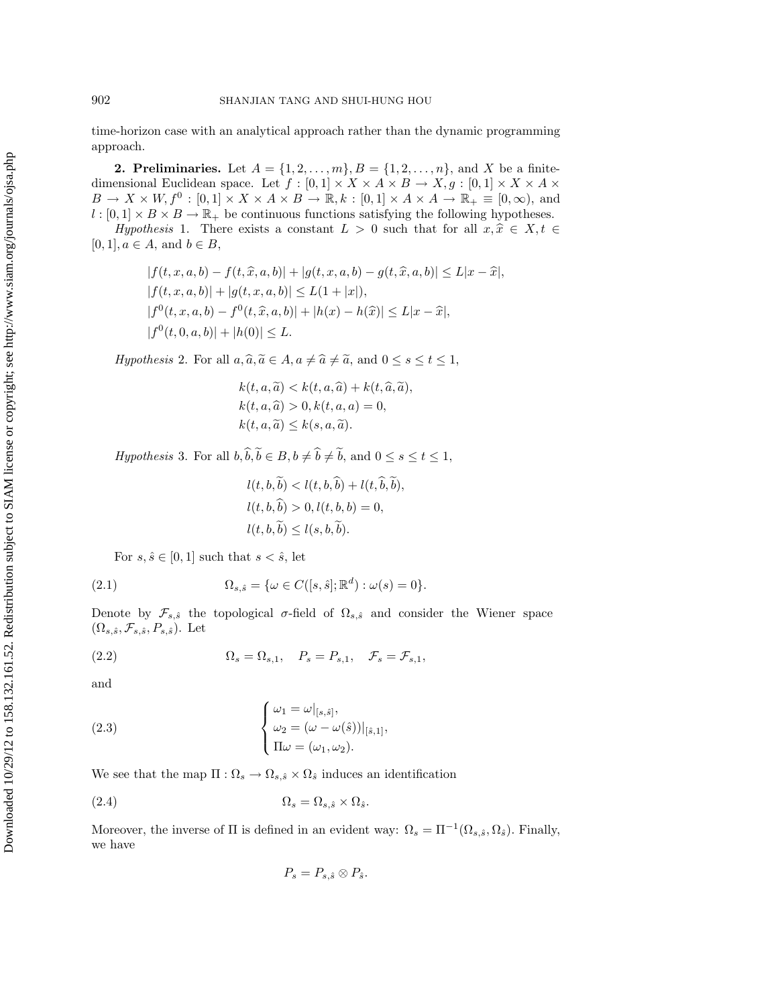time-horizon case with an analytical approach rather than the dynamic programming approach.

**2. Preliminaries.** Let  $A = \{1, 2, ..., m\}$ ,  $B = \{1, 2, ..., n\}$ , and X be a finitedimensional Euclidean space. Let  $f : [0,1] \times X \times A \times B \to X, g : [0,1] \times X \times A \times B$  $B \to X \times W, f^0 : [0,1] \times X \times A \times B \to \mathbb{R}, k : [0,1] \times A \times A \to \mathbb{R}_+ \equiv [0,\infty)$ , and  $l : [0,1] \times B \times B \to \mathbb{R}_+$  be continuous functions satisfying the following hypotheses.

Hypothesis 1. There exists a constant  $L > 0$  such that for all  $x, \hat{x} \in X, t \in$  $[0, 1], a \in A$ , and  $b \in B$ ,

$$
|f(t, x, a, b) - f(t, \hat{x}, a, b)| + |g(t, x, a, b) - g(t, \hat{x}, a, b)| \le L|x - \hat{x}|,
$$
  
\n
$$
|f(t, x, a, b)| + |g(t, x, a, b)| \le L(1 + |x|),
$$
  
\n
$$
|f^{0}(t, x, a, b) - f^{0}(t, \hat{x}, a, b)| + |h(x) - h(\hat{x})| \le L|x - \hat{x}|,
$$
  
\n
$$
|f^{0}(t, 0, a, b)| + |h(0)| \le L.
$$

Hypothesis 2. For all  $a, \hat{a}, \tilde{a} \in A, a \neq \hat{a} \neq \tilde{a}$ , and  $0 \leq s \leq t \leq 1$ ,

$$
k(t, a, \widetilde{a}) < k(t, a, \widehat{a}) + k(t, \widehat{a}, \widetilde{a}),
$$
\n
$$
k(t, a, \widehat{a}) > 0, k(t, a, a) = 0,
$$
\n
$$
k(t, a, \widetilde{a}) \le k(s, a, \widetilde{a}).
$$

Hypothesis 3. For all  $b, \tilde{b}, \tilde{b} \in B, b \neq \tilde{b} \neq \tilde{b}$ , and  $0 \leq s \leq t \leq 1$ ,

$$
l(t, b, \widetilde{b}) < l(t, b, \widehat{b}) + l(t, \widehat{b}, \widetilde{b}),
$$
\n
$$
l(t, b, \widehat{b}) > 0, l(t, b, b) = 0,
$$
\n
$$
l(t, b, \widetilde{b}) \le l(s, b, \widetilde{b}).
$$

For  $s, \hat{s} \in [0, 1]$  such that  $s < \hat{s}$ , let

(2.1) 
$$
\Omega_{s,\hat{s}} = \{ \omega \in C([s,\hat{s}];\mathbb{R}^d) : \omega(s) = 0 \}.
$$

Denote by  $\mathcal{F}_{s,\hat{s}}$  the topological  $\sigma$ -field of  $\Omega_{s,\hat{s}}$  and consider the Wiener space  $(\Omega_{s,\hat{s}},\mathcal{F}_{s,\hat{s}},P_{s,\hat{s}}).$  Let

$$
\Omega_s = \Omega_{s,1}, \quad P_s = P_{s,1}, \quad \mathcal{F}_s = \mathcal{F}_{s,1},
$$

and

(2.3) 
$$
\begin{cases} \omega_1 = \omega|_{[s,\hat{s}]}, \\ \omega_2 = (\omega - \omega(\hat{s}))|_{[\hat{s},1]}, \\ \Pi \omega = (\omega_1, \omega_2). \end{cases}
$$

We see that the map  $\Pi : \Omega_s \to \Omega_{s,\hat{s}} \times \Omega_{\hat{s}}$  induces an identification

$$
(2.4) \t\t\t\t\t\Omega_s = \Omega_{s,\hat{s}} \times \Omega_{\hat{s}}.
$$

Moreover, the inverse of  $\Pi$  is defined in an evident way:  $\Omega_s = \Pi^{-1}(\Omega_{s,\hat{s}}, \Omega_{\hat{s}})$ . Finally, we have

$$
P_s = P_{s,\hat{s}} \otimes P_{\hat{s}}.
$$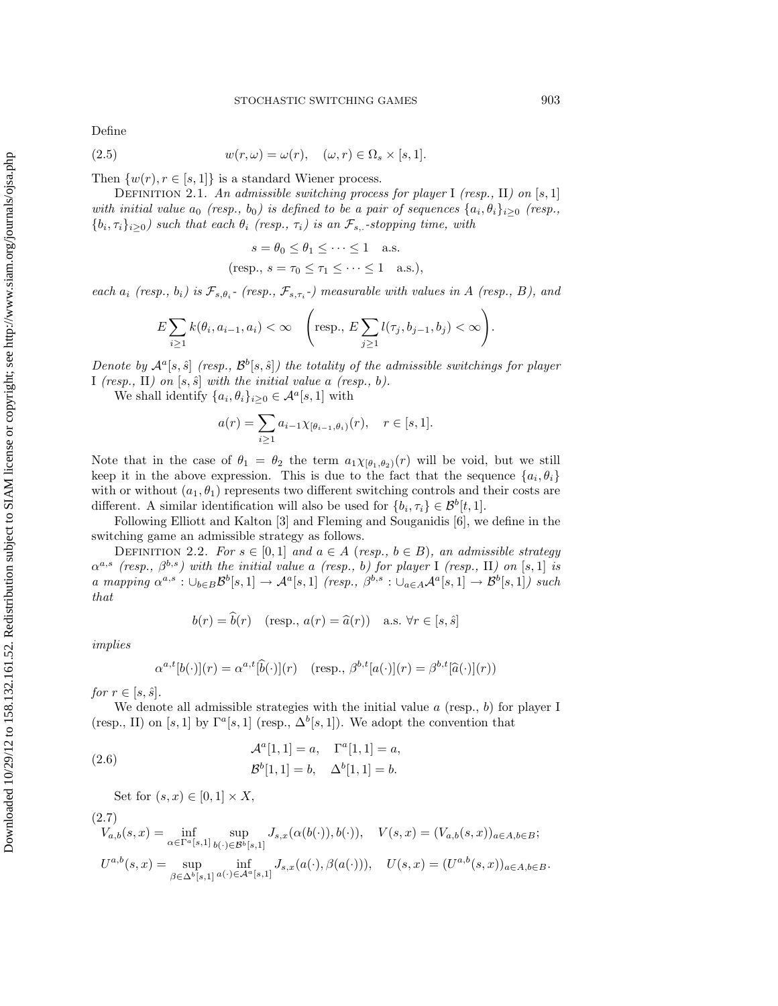Define

(2.5) 
$$
w(r, \omega) = \omega(r), \quad (\omega, r) \in \Omega_s \times [s, 1].
$$

Then  $\{w(r), r \in [s, 1]\}$  is a standard Wiener process.

DEFINITION 2.1. An admissible switching process for player I (resp., II) on [s, 1] with initial value  $a_0$  (resp.,  $b_0$ ) is defined to be a pair of sequences  $\{a_i, \theta_i\}_{i\geq 0}$  (resp.,  ${b_i, \tau_i}_{i\geq 0}$  such that each  $\theta_i$  (resp.,  $\tau_i$ ) is an  $\mathcal{F}_{s_i}$ -stopping time, with

$$
s = \theta_0 \le \theta_1 \le \dots \le 1 \quad \text{a.s.}
$$
  
(resp.,  $s = \tau_0 \le \tau_1 \le \dots \le 1 \quad \text{a.s.}$ ),

each  $a_i$  (resp.,  $b_i$ ) is  $\mathcal{F}_{s,\theta_i}$ - (resp.,  $\mathcal{F}_{s,\tau_i}$ -) measurable with values in A (resp., B), and

$$
E\sum_{i\geq 1}k(\theta_i,a_{i-1},a_i)<\infty\quad\left(\text{resp., }E\sum_{j\geq 1}l(\tau_j,b_{j-1},b_j)<\infty\right).
$$

Denote by  $\mathcal{A}^a[s,\hat{s}]$  (resp.,  $\mathcal{B}^b[s,\hat{s}]$ ) the totality of the admissible switchings for player I (resp., II) on  $[s, \hat{s}]$  with the initial value a (resp., b).

We shall identify  $\{a_i, \theta_i\}_{i\geq 0} \in \mathcal{A}^a[s, 1]$  with

$$
a(r) = \sum_{i \ge 1} a_{i-1} \chi_{[\theta_{i-1}, \theta_i)}(r), \quad r \in [s, 1].
$$

Note that in the case of  $\theta_1 = \theta_2$  the term  $a_1 \chi_{[\theta_1,\theta_2]}(r)$  will be void, but we still keep it in the above expression. This is due to the fact that the sequence  $\{a_i, \theta_i\}$ with or without  $(a_1, \theta_1)$  represents two different switching controls and their costs are different. A similar identification will also be used for  $\{b_i, \tau_i\} \in \mathcal{B}^b[t, 1].$ 

Following Elliott and Kalton [3] and Fleming and Souganidis [6], we define in the switching game an admissible strategy as follows.

DEFINITION 2.2. For  $s \in [0,1]$  and  $a \in A$  (resp.,  $b \in B$ ), an admissible strategy  $\alpha^{a,s}$  (resp.,  $\beta^{b,s}$ ) with the initial value a (resp., b) for player I (resp., II) on [s, 1] is a mapping  $\alpha^{a,s} : \bigcup_{b \in B} \mathcal{B}^b[s,1] \to \mathcal{A}^a[s,1]$  (resp.,  $\beta^{b,s} : \bigcup_{a \in A} \mathcal{A}^a[s,1] \to \mathcal{B}^b[s,1]$ ) such that

$$
b(r) = b(r) \quad (\text{resp., } a(r) = \hat{a}(r)) \quad \text{a.s. } \forall r \in [s, \hat{s}]
$$

implies

$$
\alpha^{a,t}[b(\cdot)](r) = \alpha^{a,t}[\widehat{b}(\cdot)](r) \quad (\text{resp., } \beta^{b,t}[a(\cdot)](r) = \beta^{b,t}[\widehat{a}(\cdot)](r))
$$

for  $r \in [s, \hat{s}].$ 

We denote all admissible strategies with the initial value  $a$  (resp., b) for player I (resp., II) on [s, 1] by  $\Gamma^a[s,1]$  (resp.,  $\Delta^b[s,1]$ ). We adopt the convention that

(2.6) 
$$
\mathcal{A}^{a}[1,1] = a, \quad \Gamma^{a}[1,1] = a,
$$

$$
\mathcal{B}^{b}[1,1] = b, \quad \Delta^{b}[1,1] = b.
$$

Set for  $(s, x) \in [0, 1] \times X$ ,

$$
(2.7)
$$

$$
V_{a,b}(s,x) = \inf_{\alpha \in \Gamma^a[s,1]} \sup_{b(\cdot) \in \mathcal{B}^b[s,1]} J_{s,x}(\alpha(b(\cdot)),b(\cdot)), \quad V(s,x) = (V_{a,b}(s,x))_{a \in A, b \in B};
$$
  

$$
U^{a,b}(s,x) = \sup_{\beta \in \Delta^b[s,1]} \inf_{a(\cdot) \in \mathcal{A}^a[s,1]} J_{s,x}(a(\cdot),\beta(a(\cdot))), \quad U(s,x) = (U^{a,b}(s,x))_{a \in A, b \in B}.
$$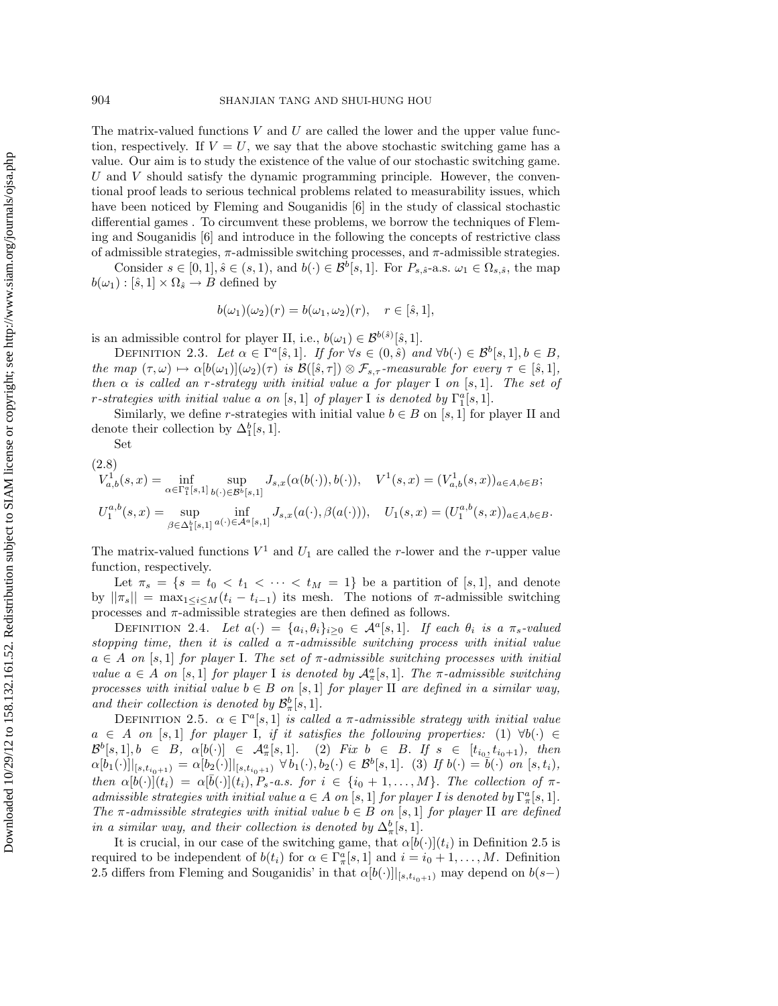The matrix-valued functions  $V$  and  $U$  are called the lower and the upper value function, respectively. If  $V = U$ , we say that the above stochastic switching game has a value. Our aim is to study the existence of the value of our stochastic switching game. U and V should satisfy the dynamic programming principle. However, the conventional proof leads to serious technical problems related to measurability issues, which have been noticed by Fleming and Souganidis [6] in the study of classical stochastic differential games . To circumvent these problems, we borrow the techniques of Fleming and Souganidis [6] and introduce in the following the concepts of restrictive class of admissible strategies,  $\pi$ -admissible switching processes, and  $\pi$ -admissible strategies.

Consider  $s \in [0,1], \hat{s} \in (s,1),$  and  $b(\cdot) \in \mathcal{B}^b[s,1]$ . For  $P_{s,\hat{s}}$ -a.s.  $\omega_1 \in \Omega_{s,\hat{s}}$ , the map  $b(\omega_1) : [\hat{s}, 1] \times \Omega_{\hat{s}} \to B$  defined by

$$
b(\omega_1)(\omega_2)(r) = b(\omega_1, \omega_2)(r), \quad r \in [\hat{s}, 1],
$$

is an admissible control for player II, i.e.,  $b(\omega_1) \in \mathcal{B}^{b(\hat{s})}[\hat{s}, 1].$ 

DEFINITION 2.3. Let  $\alpha \in \Gamma^a[\hat{s}, 1]$ . If for  $\forall s \in (0, \hat{s})$  and  $\forall b(\cdot) \in \mathcal{B}^b[s, 1], b \in B$ , the map  $(\tau, \omega) \mapsto \alpha[b(\omega_1)](\omega_2)(\tau)$  is  $\mathcal{B}([\hat{s}, \tau]) \otimes \mathcal{F}_{s,\tau}$ -measurable for every  $\tau \in [\hat{s}, 1],$ then  $\alpha$  is called an r-strategy with initial value a for player I on [s, 1]. The set of r-strategies with initial value a on [s, 1] of player I is denoted by  $\Gamma_1^a[s,1]$ .

Similarly, we define r-strategies with initial value  $b \in B$  on [s, 1] for player II and denote their collection by  $\Delta_1^b[s,1]$ .

Set

$$
\begin{aligned} &\text{(2.8)}\\ &V_{a,b}^1(s,x)=\inf_{\alpha\in\Gamma_1^a[s,1]}\sup_{b(\cdot)\in\mathcal{B}^b[s,1]}J_{s,x}(\alpha(b(\cdot)),b(\cdot)),\quad V^1(s,x)=(V_{a,b}^1(s,x))_{a\in A,b\in B};\\ &U_1^{a,b}(s,x)=\sup_{\beta\in\Delta_1^b[s,1]} \inf_{a(\cdot)\in\mathcal{A}^a[s,1]}J_{s,x}(a(\cdot),\beta(a(\cdot))),\quad U_1(s,x)=(U_1^{a,b}(s,x))_{a\in A,b\in B}. \end{aligned}
$$

The matrix-valued functions  $V^1$  and  $U_1$  are called the r-lower and the r-upper value function, respectively.

Let  $\pi_s = \{s = t_0 < t_1 < \cdots < t_M = 1\}$  be a partition of [s, 1], and denote by  $||\pi_s|| = \max_{1 \le i \le M} (t_i - t_{i-1})$  its mesh. The notions of  $\pi$ -admissible switching processes and  $\pi$ -admissible strategies are then defined as follows.

DEFINITION 2.4. Let  $a(\cdot) = \{a_i, \theta_i\}_{i \geq 0} \in \mathcal{A}^a[s, 1]$ . If each  $\theta_i$  is a  $\pi_s$ -valued stopping time, then it is called a  $\pi$ -admissible switching process with initial value  $a \in A$  on [s, 1] for player I. The set of  $\pi$ -admissible switching processes with initial value  $a \in A$  on [s, 1] for player I is denoted by  $\mathcal{A}_{\pi}^a[s,1]$ . The  $\pi$ -admissible switching processes with initial value  $b \in B$  on [s, 1] for player II are defined in a similar way, and their collection is denoted by  $\mathcal{B}_{\pi}^{b}[s,1].$ 

DEFINITION 2.5.  $\alpha \in \Gamma^a[s, 1]$  is called a  $\pi$ -admissible strategy with initial value  $a \in A$  on [s, 1] for player I, if it satisfies the following properties: (1)  $\forall b(\cdot) \in A$  $\mathcal{B}^b[s,1], b \in B, \alpha[b(\cdot)] \in \mathcal{A}_{\pi}^a[s,1].$  (2) Fix  $b \in B$ . If  $s \in [t_{i_0}, t_{i_0+1}),$  then  $\alpha[b_1(\cdot)]|_{[s,t_{i_0+1})} = \alpha[b_2(\cdot)]|_{[s,t_{i_0+1})} \,\,\forall \, b_1(\cdot), b_2(\cdot) \in \mathcal{B}^b[s,1].$  (3) If  $b(\cdot) = \overline{b}(\cdot)$  on  $[s, t_i)$ , then  $\alpha[b(\cdot)](t_i) = \alpha[\overline{b}(\cdot)](t_i), P_s-a.s.$  for  $i \in \{i_0+1,\ldots,M\}$ . The collection of  $\pi$ admissible strategies with initial value  $a \in A$  on [s, 1] for player I is denoted by  $\Gamma_{\pi}^a[s,1]$ . The  $\pi$ -admissible strategies with initial value  $b \in B$  on [s, 1] for player II are defined in a similar way, and their collection is denoted by  $\Delta^b_\pi[s,1]$ .

It is crucial, in our case of the switching game, that  $\alpha[b(\cdot)](t_i)$  in Definition 2.5 is required to be independent of  $b(t_i)$  for  $\alpha \in \Gamma^a_\pi[s,1]$  and  $i = i_0 + 1, \ldots, M$ . Definition 2.5 differs from Fleming and Souganidis' in that  $\alpha[b(\cdot)]|_{[s,t_{i_0+1})}$  may depend on  $b(s-)$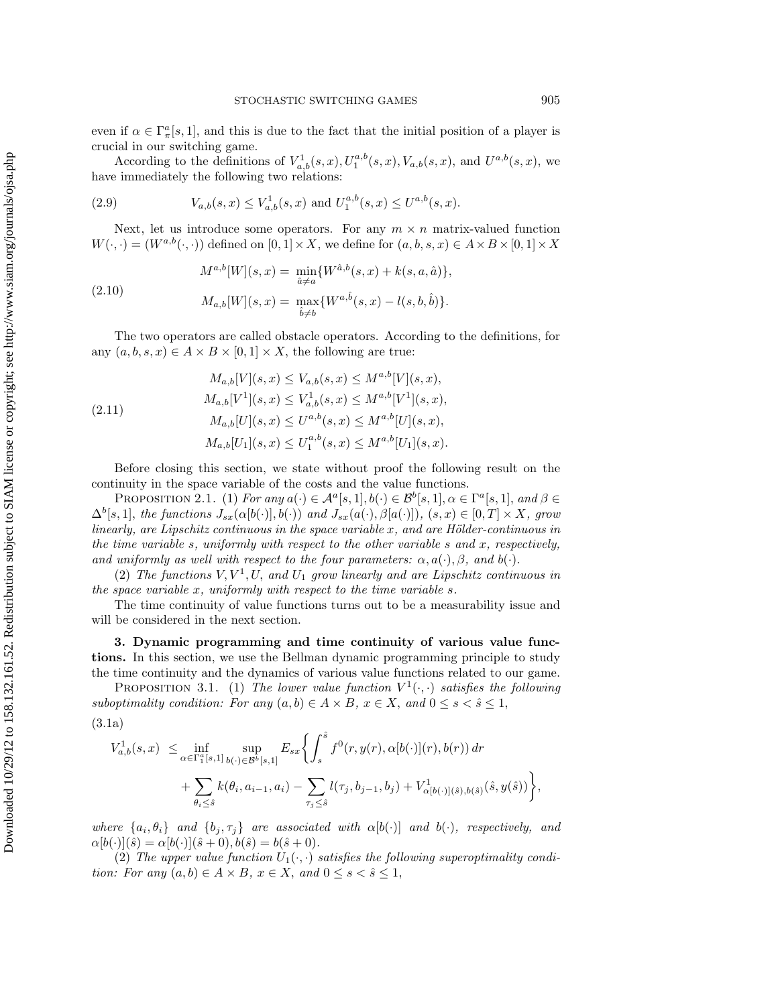even if  $\alpha \in \Gamma_{\pi}^{a}[s,1]$ , and this is due to the fact that the initial position of a player is crucial in our switching game.

According to the definitions of  $V_{a,b}^1(s,x)$ ,  $U_1^{a,b}(s,x)$ ,  $V_{a,b}(s,x)$ , and  $U^{a,b}(s,x)$ , we have immediately the following two relations:

(2.9) 
$$
V_{a,b}(s,x) \le V_{a,b}^1(s,x) \text{ and } U_1^{a,b}(s,x) \le U^{a,b}(s,x).
$$

Next, let us introduce some operators. For any  $m \times n$  matrix-valued function  $W(\cdot, \cdot)=(W^{a,b}(\cdot, \cdot))$  defined on  $[0, 1]\times X$ , we define for  $(a, b, s, x)\in A\times B\times[0, 1]\times X$ 

(2.10)  
\n
$$
M^{a,b}[W](s,x) = \min_{\hat{a}\neq a} \{W^{\hat{a},b}(s,x) + k(s,a,\hat{a})\},
$$
\n
$$
M_{a,b}[W](s,x) = \max_{\hat{b}\neq b} \{W^{a,\hat{b}}(s,x) - l(s,b,\hat{b})\}.
$$

The two operators are called obstacle operators. According to the definitions, for any  $(a, b, s, x) \in A \times B \times [0, 1] \times X$ , the following are true:

(2.11)  
\n
$$
M_{a,b}[V](s,x) \leq V_{a,b}(s,x) \leq M^{a,b}[V](s,x),
$$
\n
$$
M_{a,b}[V^1](s,x) \leq V_{a,b}^1(s,x) \leq M^{a,b}[V^1](s,x),
$$
\n
$$
M_{a,b}[U](s,x) \leq U^{a,b}(s,x) \leq M^{a,b}[U](s,x),
$$
\n
$$
M_{a,b}[U_1](s,x) \leq U_1^{a,b}(s,x) \leq M^{a,b}[U_1](s,x).
$$

Before closing this section, we state without proof the following result on the continuity in the space variable of the costs and the value functions.

PROPOSITION 2.1. (1) For any  $a(\cdot) \in \mathcal{A}^a[s,1], b(\cdot) \in \mathcal{B}^b[s,1], \alpha \in \Gamma^a[s,1],$  and  $\beta \in$  $\Delta^{b}[s,1]$ , the functions  $J_{sx}(\alpha[b(\cdot)],b(\cdot))$  and  $J_{sx}(a(\cdot),\beta[a(\cdot)])$ ,  $(s,x) \in [0,T] \times X$ , grow linearly, are Lipschitz continuous in the space variable  $x$ , and are Hölder-continuous in the time variable s, uniformly with respect to the other variable s and x, respectively, and uniformly as well with respect to the four parameters:  $\alpha$ ,  $a(\cdot)$ ,  $\beta$ , and  $b(\cdot)$ .

(2) The functions  $V, V^1, U$ , and  $U_1$  grow linearly and are Lipschitz continuous in the space variable  $x$ , uniformly with respect to the time variable  $s$ .

The time continuity of value functions turns out to be a measurability issue and will be considered in the next section.

**3. Dynamic programming and time continuity of various value functions.** In this section, we use the Bellman dynamic programming principle to study the time continuity and the dynamics of various value functions related to our game.

PROPOSITION 3.1. (1) The lower value function  $V^1(\cdot, \cdot)$  satisfies the following suboptimality condition: For any  $(a, b) \in A \times B$ ,  $x \in X$ , and  $0 \le s \le \hat{s} \le 1$ ,

(3.1a)

$$
V_{a,b}^1(s,x) \leq \inf_{\alpha \in \Gamma_1^a[s,1]} \sup_{b(\cdot) \in \mathcal{B}^b[s,1]} E_{sx} \bigg\{ \int_s^{\hat{s}} f^0(r, y(r), \alpha[b(\cdot)](r), b(r)) dr + \sum_{\theta_i \leq \hat{s}} k(\theta_i, a_{i-1}, a_i) - \sum_{\tau_j \leq \hat{s}} l(\tau_j, b_{j-1}, b_j) + V_{\alpha[b(\cdot)](\hat{s}), b(\hat{s})}^1(\hat{s}, y(\hat{s})) \bigg\},
$$

where  $\{a_i, \theta_i\}$  and  $\{b_j, \tau_j\}$  are associated with  $\alpha[b(\cdot)]$  and  $b(\cdot)$ , respectively, and  $\alpha[b(\cdot)](\hat{s}) = \alpha[b(\cdot)](\hat{s} + 0), b(\hat{s}) = b(\hat{s} + 0).$ 

(2) The upper value function  $U_1(\cdot, \cdot)$  satisfies the following superoptimality condition: For any  $(a, b) \in A \times B$ ,  $x \in X$ , and  $0 \le s < \hat{s} \le 1$ ,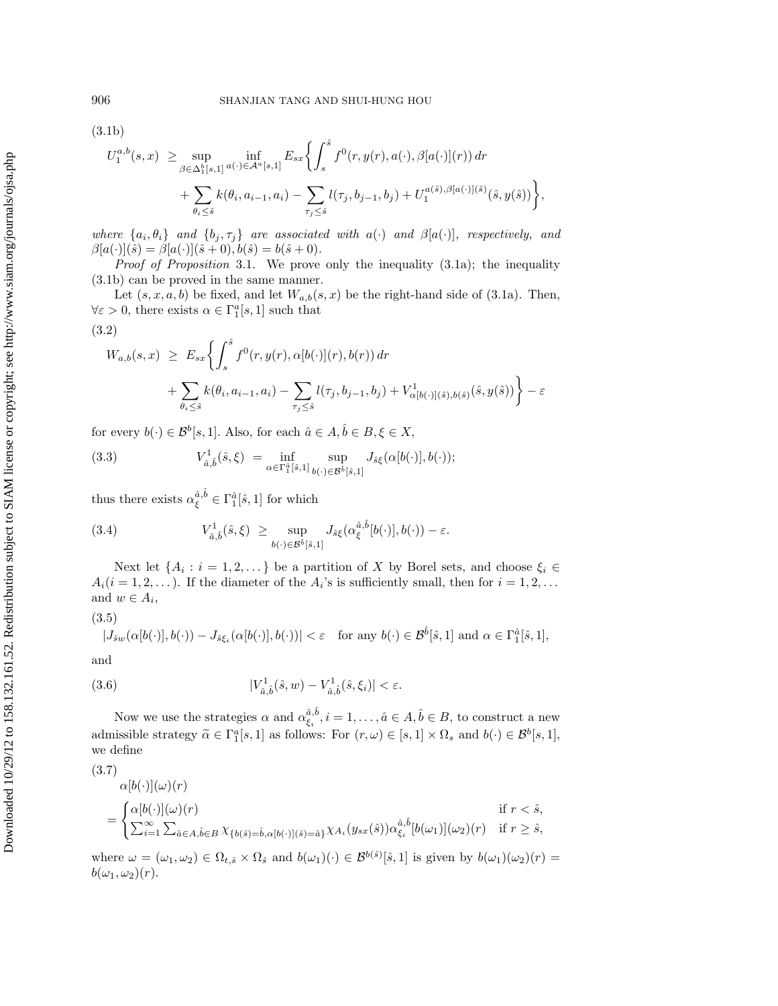$$
(3.1b)
$$

$$
U_1^{a,b}(s,x) \geq \sup_{\beta \in \Delta_1^b[s,1]} \inf_{a(\cdot) \in \mathcal{A}^a[s,1]} E_{sx} \left\{ \int_s^{\hat{s}} f^0(r, y(r), a(\cdot), \beta[a(\cdot)](r)) dr + \sum_{\theta_i \leq \hat{s}} k(\theta_i, a_{i-1}, a_i) - \sum_{\tau_j \leq \hat{s}} l(\tau_j, b_{j-1}, b_j) + U_1^{a(\hat{s}), \beta[a(\cdot)](\hat{s})}(\hat{s}, y(\hat{s})) \right\}
$$

,

where  $\{a_i, \theta_i\}$  and  $\{b_j, \tau_j\}$  are associated with  $a(\cdot)$  and  $\beta[a(\cdot)]$ , respectively, and  $\beta[a(\cdot)](\hat{s}) = \beta[a(\cdot)](\hat{s} + 0), b(\hat{s}) = b(\hat{s} + 0).$ 

Proof of Proposition 3.1. We prove only the inequality  $(3.1a)$ ; the inequality (3.1b) can be proved in the same manner.

Let  $(s, x, a, b)$  be fixed, and let  $W_{a,b}(s, x)$  be the right-hand side of (3.1a). Then,  $\forall \varepsilon > 0$ , there exists  $\alpha \in \Gamma_1^a[s, 1]$  such that

$$
(3.2)
$$

$$
W_{a,b}(s,x) \geq E_{sx} \left\{ \int_s^{\hat{s}} f^0(r, y(r), \alpha[b(\cdot)](r), b(r)) dr + \sum_{\theta_i \leq \hat{s}} k(\theta_i, a_{i-1}, a_i) - \sum_{\tau_j \leq \hat{s}} l(\tau_j, b_{j-1}, b_j) + V^1_{\alpha[b(\cdot)](\hat{s}), b(\hat{s})}(\hat{s}, y(\hat{s})) \right\} - \varepsilon
$$

for every  $b(\cdot) \in \mathcal{B}^b[s, 1]$ . Also, for each  $\hat{a} \in A, \hat{b} \in B, \xi \in X$ ,

(3.3) 
$$
V_{\hat{a},\hat{b}}^1(\hat{s},\xi) = \inf_{\alpha \in \Gamma_1^{\hat{a}}[\hat{s},1]} \sup_{b(\cdot) \in \mathcal{B}^{\hat{b}}[\hat{s},1]} J_{\hat{s}\xi}(\alpha[b(\cdot)],b(\cdot));
$$

thus there exists  $\alpha_{\xi}^{\hat{a},\hat{b}} \in \Gamma_1^{\hat{a}}[\hat{s},1]$  for which

(3.4) 
$$
V_{\hat{a},\hat{b}}^1(\hat{s},\xi) \geq \sup_{b(\cdot)\in\mathcal{B}^{\hat{b}}[\hat{s},1]} J_{\hat{s}\xi}(\alpha_{\xi}^{\hat{a},\hat{b}}[b(\cdot)],b(\cdot))-\varepsilon.
$$

Next let  $\{A_i : i = 1, 2, ...\}$  be a partition of X by Borel sets, and choose  $\xi_i \in$  $A_i(i = 1, 2, \dots)$ . If the diameter of the  $A_i$ 's is sufficiently small, then for  $i = 1, 2, \dots$ and  $w \in A_i$ ,

(3.5)  
\n
$$
|J_{\hat{s}w}(\alpha[b(\cdot)],b(\cdot)) - J_{\hat{s}\xi_i}(\alpha[b(\cdot)],b(\cdot))| < \varepsilon \text{ for any } b(\cdot) \in \mathcal{B}^{\hat{b}}[\hat{s},1] \text{ and } \alpha \in \Gamma_1^{\hat{a}}[\hat{s},1],
$$

and

(3.6) 
$$
|V_{\hat{a},\hat{b}}^1(\hat{s},w) - V_{\hat{a},\hat{b}}^1(\hat{s},\xi_i)| < \varepsilon.
$$

Now we use the strategies  $\alpha$  and  $\alpha_{\xi_i}^{\hat{a},\hat{b}}, i = 1,\ldots,\hat{a} \in A, \hat{b} \in B$ , to construct a new admissible strategy  $\widetilde{\alpha} \in \Gamma_1^a[s, 1]$  as follows: For  $(r, \omega) \in [s, 1] \times \Omega_s$  and  $b(\cdot) \in \mathcal{B}^b[s, 1]$ , we define

$$
(3.7)
$$
\n
$$
\alpha[b(\cdot)](\omega)(r)
$$
\n
$$
= \begin{cases}\n\alpha[b(\cdot)](\omega)(r) & \text{if } r < \hat{s}, \\
\sum_{i=1}^{\infty} \sum_{\hat{a} \in A, \hat{b} \in B} \chi_{\{b(\hat{s}) = \hat{b}, \alpha[b(\cdot)](\hat{s}) = \hat{a}\}} \chi_{A_i}(y_{sx}(\hat{s})) \alpha_{\xi_i}^{\hat{a},\hat{b}}[b(\omega_1)](\omega_2)(r) & \text{if } r \ge \hat{s},\n\end{cases}
$$

where  $\omega = (\omega_1, \omega_2) \in \Omega_{t, \hat{s}} \times \Omega_{\hat{s}}$  and  $b(\omega_1)(\cdot) \in \mathcal{B}^{b(\hat{s})}[\hat{s}, 1]$  is given by  $b(\omega_1)(\omega_2)(r) =$  $b(\omega_1, \omega_2)(r)$ .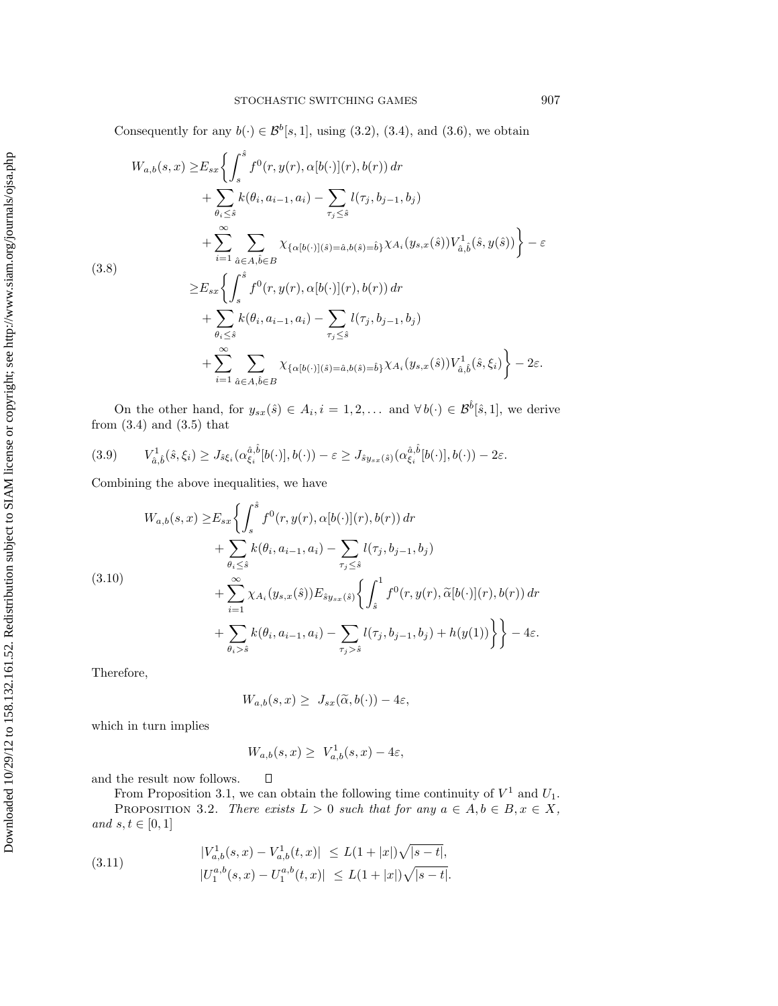Consequently for any  $b(\cdot) \in \mathcal{B}^b[s, 1]$ , using (3.2), (3.4), and (3.6), we obtain

$$
W_{a,b}(s,x) \geq E_{sx} \Biggl\{ \int_{s}^{\hat{s}} f^{0}(r, y(r), \alpha[b(\cdot)](r), b(r)) dr + \sum_{\theta_{i} \leq \hat{s}} k(\theta_{i}, a_{i-1}, a_{i}) - \sum_{\tau_{j} \leq \hat{s}} l(\tau_{j}, b_{j-1}, b_{j}) + \sum_{i=1}^{\infty} \sum_{\hat{a} \in A, \hat{b} \in B} \chi_{\{\alpha[b(\cdot)](\hat{s}) = \hat{a}, b(\hat{s}) = \hat{b}\}} \chi_{A_{i}}(y_{s,x}(\hat{s})) V_{\hat{a},\hat{b}}^{1}(\hat{s}, y(\hat{s})) \Biggr\} - \varepsilon (3.8)
$$
  

$$
\geq E_{sx} \Biggl\{ \int_{s}^{\hat{s}} f^{0}(r, y(r), \alpha[b(\cdot)](r), b(r)) dr + \sum_{\theta_{i} \leq \hat{s}} k(\theta_{i}, a_{i-1}, a_{i}) - \sum_{\tau_{j} \leq \hat{s}} l(\tau_{j}, b_{j-1}, b_{j}) + \sum_{i=1}^{\infty} \sum_{\hat{a} \in A, \hat{b} \in B} \chi_{\{\alpha[b(\cdot)](\hat{s}) = \hat{a}, b(\hat{s}) = \hat{b}\}} \chi_{A_{i}}(y_{s,x}(\hat{s})) V_{\hat{a},\hat{b}}^{1}(\hat{s}, \xi_{i}) \Biggr\} - 2\varepsilon.
$$

On the other hand, for  $y_{sx}(\hat{s}) \in A_i, i = 1, 2, \ldots$  and  $\forall b(\cdot) \in \mathcal{B}^{\hat{b}}[\hat{s}, 1]$ , we derive from  $(3.4)$  and  $(3.5)$  that

 $(3.9)$  $J^1_{\hat{a},\hat{b}}(\hat{s},\xi_i)\geq J_{\hat{s}\xi_i}(\alpha_{\xi_i}^{\hat{a},\hat{b}}[b(\cdot)],b(\cdot))-\varepsilon\geq J_{\hat{s}y_{sx}(\hat{s})}(\alpha_{\xi_i}^{\hat{a},\hat{b}}[b(\cdot)],b(\cdot))-2\varepsilon.$ 

Combining the above inequalities, we have

$$
W_{a,b}(s,x) \geq E_{sx} \Biggl\{ \int_s^{\hat{s}} f^0(r, y(r), \alpha[b(\cdot)](r), b(r)) dr + \sum_{\theta_i \leq \hat{s}} k(\theta_i, a_{i-1}, a_i) - \sum_{\tau_j \leq \hat{s}} l(\tau_j, b_{j-1}, b_j) + \sum_{i=1}^{\infty} \chi_{A_i}(y_{s,x}(\hat{s})) E_{\hat{s}y_{sx}(\hat{s})} \Biggl\{ \int_{\hat{s}}^1 f^0(r, y(r), \tilde{\alpha}[b(\cdot)](r), b(r)) dr + \sum_{\theta_i > \hat{s}} k(\theta_i, a_{i-1}, a_i) - \sum_{\tau_j > \hat{s}} l(\tau_j, b_{j-1}, b_j) + h(y(1)) \Biggr\} \Biggr\} - 4\varepsilon.
$$

Therefore,

$$
W_{a,b}(s,x) \geq J_{sx}(\widetilde{\alpha},b(\cdot)) - 4\varepsilon,
$$

which in turn implies

$$
W_{a,b}(s,x) \ge V_{a,b}^1(s,x) - 4\varepsilon,
$$

and the result now follows.  $\Box$ 

From Proposition 3.1, we can obtain the following time continuity of  $V^1$  and  $U_1$ . PROPOSITION 3.2. There exists  $L > 0$  such that for any  $a \in A, b \in B, x \in X$ , and  $s, t \in [0, 1]$ 

(3.11) 
$$
|V_{a,b}^{1}(s,x) - V_{a,b}^{1}(t,x)| \le L(1+|x|)\sqrt{|s-t|},
$$

$$
|U_{1}^{a,b}(s,x) - U_{1}^{a,b}(t,x)| \le L(1+|x|)\sqrt{|s-t|}.
$$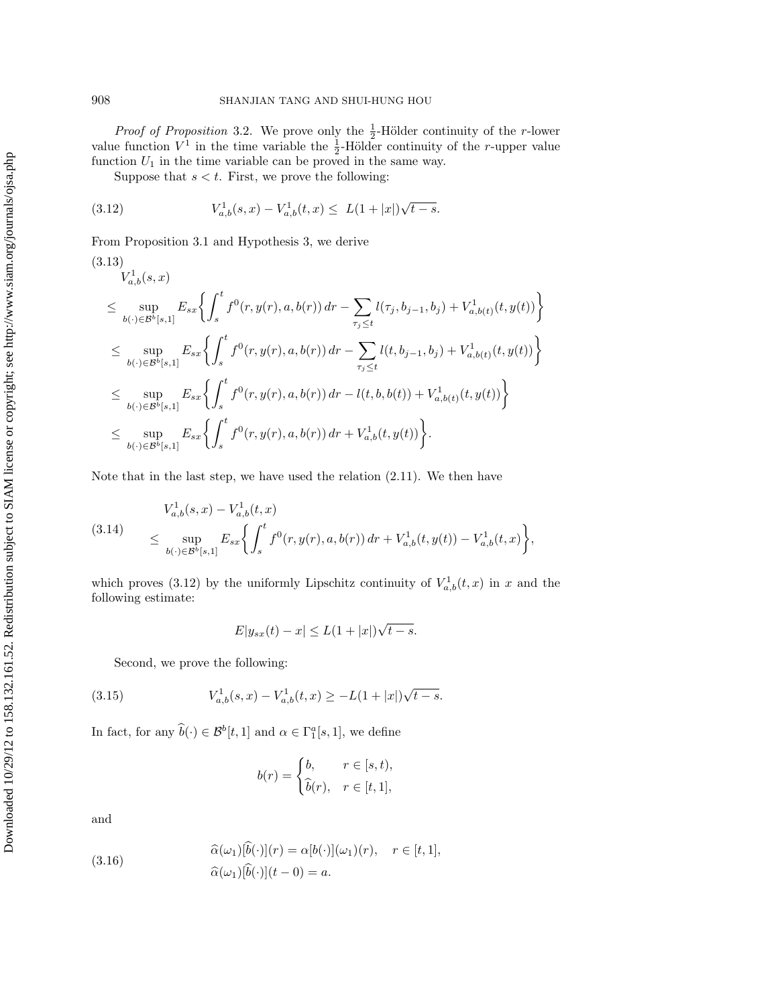*Proof of Proposition* 3.2. We prove only the  $\frac{1}{2}$ -Hölder continuity of the *r*-lower value function  $V^1$  in the time variable the  $\frac{1}{2}$ -Hölder continuity of the *r*-upper value function  $U_1$  in the time variable can be proved in the same way.

Suppose that  $s < t$ . First, we prove the following:

(3.12) 
$$
V_{a,b}^{1}(s,x) - V_{a,b}^{1}(t,x) \le L(1+|x|)\sqrt{t-s}.
$$

From Proposition 3.1 and Hypothesis 3, we derive

$$
(3.13)
$$
\n
$$
V_{a,b}^{1}(s,x)
$$
\n
$$
\leq \sup_{b(\cdot)\in\mathcal{B}^{b}[s,1]} E_{sx} \Biggl\{ \int_{s}^{t} f^{0}(r, y(r), a, b(r)) dr - \sum_{\tau_{j}\leq t} l(\tau_{j}, b_{j-1}, b_{j}) + V_{a,b(t)}^{1}(t, y(t)) \Biggr\}
$$
\n
$$
\leq \sup_{b(\cdot)\in\mathcal{B}^{b}[s,1]} E_{sx} \Biggl\{ \int_{s}^{t} f^{0}(r, y(r), a, b(r)) dr - \sum_{\tau_{j}\leq t} l(t, b_{j-1}, b_{j}) + V_{a,b(t)}^{1}(t, y(t)) \Biggr\}
$$
\n
$$
\leq \sup_{b(\cdot)\in\mathcal{B}^{b}[s,1]} E_{sx} \Biggl\{ \int_{s}^{t} f^{0}(r, y(r), a, b(r)) dr - l(t, b, b(t)) + V_{a,b(t)}^{1}(t, y(t)) \Biggr\}
$$
\n
$$
\leq \sup_{b(\cdot)\in\mathcal{B}^{b}[s,1]} E_{sx} \Biggl\{ \int_{s}^{t} f^{0}(r, y(r), a, b(r)) dr + V_{a,b}^{1}(t, y(t)) \Biggr\}.
$$

Note that in the last step, we have used the relation (2.11). We then have

$$
(3.14) \quad \begin{aligned} V_{a,b}^1(s,x) - V_{a,b}^1(t,x) \\ &\leq \sup_{b(\cdot) \in \mathcal{B}^b[s,1]} E_{sx} \bigg\{ \int_s^t f^0(r,y(r),a,b(r)) \, dr + V_{a,b}^1(t,y(t)) - V_{a,b}^1(t,x) \bigg\}, \end{aligned}
$$

which proves (3.12) by the uniformly Lipschitz continuity of  $V_{a,b}^1(t, x)$  in x and the following estimate:

$$
E|y_{sx}(t) - x| \le L(1+|x|)\sqrt{t-s}.
$$

Second, we prove the following:

(3.15) 
$$
V_{a,b}^{1}(s,x) - V_{a,b}^{1}(t,x) \ge -L(1+|x|)\sqrt{t-s}.
$$

In fact, for any  $\hat{b}(\cdot) \in \mathcal{B}^b[t,1]$  and  $\alpha \in \Gamma_1^a[s,1]$ , we define

$$
b(r) = \begin{cases} b, & r \in [s, t), \\ \widehat{b}(r), & r \in [t, 1], \end{cases}
$$

and

(3.16) 
$$
\widehat{\alpha}(\omega_1)[\widehat{b}(\cdot)](r) = \alpha[b(\cdot)](\omega_1)(r), \quad r \in [t, 1],
$$

$$
\widehat{\alpha}(\omega_1)[\widehat{b}(\cdot)](t-0) = a.
$$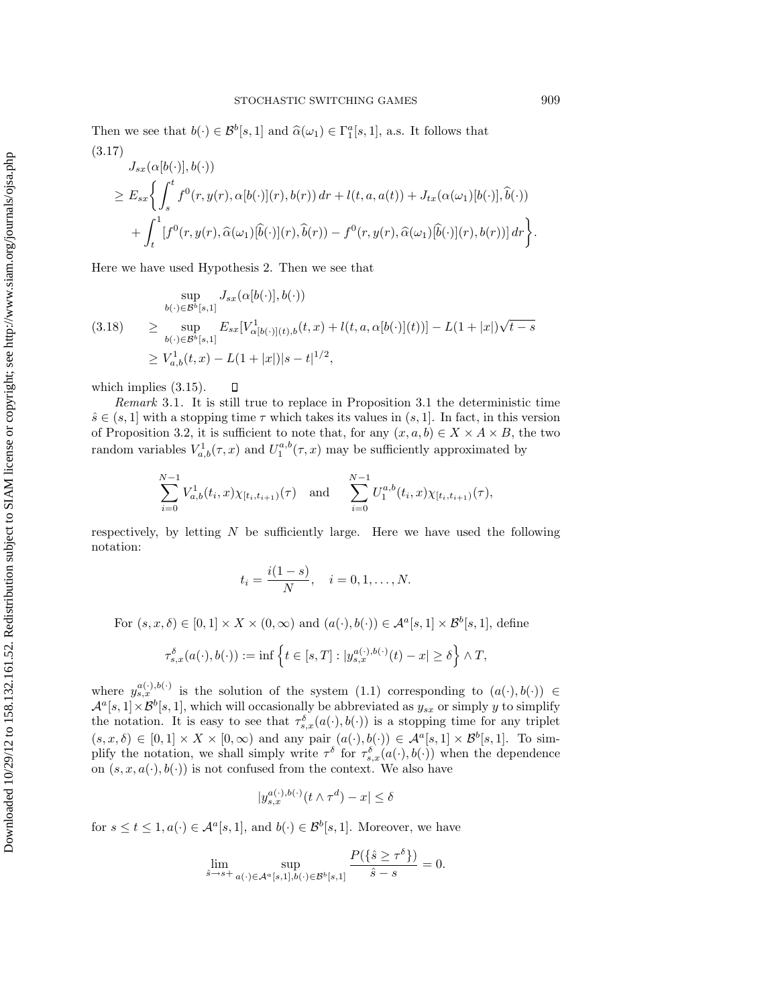Then we see that  $b(\cdot) \in \mathcal{B}^b[s,1]$  and  $\widehat{\alpha}(\omega_1) \in \Gamma^a_1[s,1]$ , a.s. It follows that (3.17)

$$
J_{sx}(\alpha[b(\cdot)],b(\cdot))
$$
  
\n
$$
\geq E_{sx}\left\{\int_{s}^{t}f^{0}(r,y(r),\alpha[b(\cdot)](r),b(r)) dr + l(t,a,a(t)) + J_{tx}(\alpha(\omega_{1})[b(\cdot)],\hat{b}(\cdot))\right\}
$$
  
\n
$$
+ \int_{t}^{1}[f^{0}(r,y(r),\hat{\alpha}(\omega_{1})[\hat{b}(\cdot)](r),\hat{b}(r)) - f^{0}(r,y(r),\hat{\alpha}(\omega_{1})[\hat{b}(\cdot)](r),b(r))] dr\right\}.
$$

Here we have used Hypothesis 2. Then we see that

$$
\sup_{b(\cdot)\in\mathcal{B}^{b}[s,1]} J_{sx}(\alpha[b(\cdot)],b(\cdot))
$$
\n
$$
(3.18) \geq \sup_{b(\cdot)\in\mathcal{B}^{b}[s,1]} E_{sx}[V_{\alpha[b(\cdot)](t),b}^{1}(t,x) + l(t,a,\alpha[b(\cdot)](t))] - L(1+|x|)\sqrt{t-s}
$$
\n
$$
\geq V_{a,b}^{1}(t,x) - L(1+|x|)|s-t|^{1/2},
$$

 $\Box$ which implies (3.15).

Remark 3.1. It is still true to replace in Proposition 3.1 the deterministic time  $\hat{s} \in (s, 1]$  with a stopping time  $\tau$  which takes its values in  $(s, 1]$ . In fact, in this version of Proposition 3.2, it is sufficient to note that, for any  $(x, a, b) \in X \times A \times B$ , the two random variables  $V_{a,b}^1(\tau,x)$  and  $U_1^{a,b}(\tau,x)$  may be sufficiently approximated by

$$
\sum_{i=0}^{N-1} V_{a,b}^1(t_i,x)\chi_{[t_i,t_{i+1})}(\tau) \text{ and } \sum_{i=0}^{N-1} U_1^{a,b}(t_i,x)\chi_{[t_i,t_{i+1})}(\tau),
$$

respectively, by letting  $N$  be sufficiently large. Here we have used the following notation:

$$
t_i = \frac{i(1-s)}{N}, \quad i = 0, 1, \dots, N.
$$

For  $(s, x, \delta) \in [0, 1] \times X \times (0, \infty)$  and  $(a(\cdot), b(\cdot)) \in \mathcal{A}^a[s, 1] \times \mathcal{B}^b[s, 1]$ , define

$$
\tau_{s,x}^{\delta}(a(\cdot),b(\cdot)):=\inf\left\{t\in[s,T]:|y_{s,x}^{a(\cdot),b(\cdot)}(t)-x|\geq\delta\right\}\wedge T,
$$

where  $y_{s,x}^{a(\cdot),b(\cdot)}$  is the solution of the system (1.1) corresponding to  $(a(\cdot),b(\cdot)) \in$  $\mathcal{A}^a[s,1] \times \mathcal{B}^b[s,1]$ , which will occasionally be abbreviated as  $y_{sx}$  or simply y to simplify the notation. It is easy to see that  $\tau_{s,x}^{\delta}(a(\cdot),b(\cdot))$  is a stopping time for any triplet  $(s, x, \delta) \in [0, 1] \times X \times [0, \infty)$  and any pair  $(a(\cdot), b(\cdot)) \in \mathcal{A}^a[s, 1] \times \mathcal{B}^b[s, 1]$ . To simplify the notation, we shall simply write  $\tau^{\delta}$  for  $\tau^{\delta}_{s,x}(a(\cdot),b(\cdot))$  when the dependence on  $(s, x, a(\cdot), b(\cdot))$  is not confused from the context. We also have

$$
|y_{s,x}^{a(\cdot),b(\cdot)}(t\wedge\tau^d)-x|\leq\delta
$$

for  $s \le t \le 1, a(\cdot) \in \mathcal{A}^a[s, 1],$  and  $b(\cdot) \in \mathcal{B}^b[s, 1].$  Moreover, we have

$$
\lim_{\hat{s}\to s+} \sup_{a(\cdot)\in \mathcal{A}^a[s,1],b(\cdot)\in \mathcal{B}^b[s,1]} \frac{P(\{\hat{s}\geq \tau^{\delta}\})}{\hat{s}-s} = 0.
$$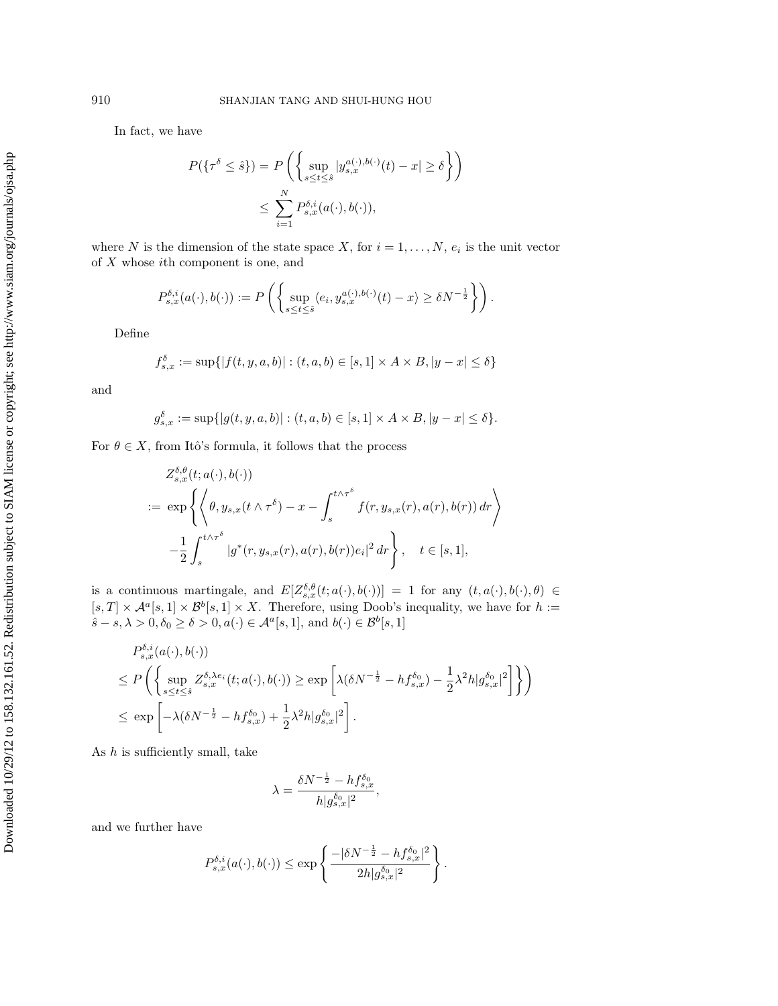In fact, we have

$$
P(\{\tau^{\delta} \leq \hat{s}\}) = P\left(\left\{\sup_{s \leq t \leq \hat{s}} |y_{s,x}^{a(\cdot),b(\cdot)}(t) - x| \geq \delta\right\}\right)
$$

$$
\leq \sum_{i=1}^{N} P_{s,x}^{\delta,i}(a(\cdot),b(\cdot)),
$$

where N is the dimension of the state space X, for  $i = 1, \ldots, N, e_i$  is the unit vector of X whose ith component is one, and

$$
P_{s,x}^{\delta,i}(a(\cdot),b(\cdot)) := P\left(\left\{\sup_{s\leq t\leq \hat{s}}\langle e_i,y_{s,x}^{a(\cdot),b(\cdot)}(t)-x\rangle \geq \delta N^{-\frac{1}{2}}\right\}\right).
$$

Define

$$
f_{s,x}^{\delta} := \sup\{|f(t,y,a,b)| : (t,a,b) \in [s,1] \times A \times B, |y - x| \le \delta\}
$$

and

$$
g_{s,x}^{\delta} := \sup\{|g(t,y,a,b)| : (t,a,b) \in [s,1] \times A \times B, |y - x| \leq \delta\}.
$$

For  $\theta \in X$ , from Itô's formula, it follows that the process

$$
Z_{s,x}^{\delta,\theta}(t;a(\cdot),b(\cdot))
$$
  
:=  $\exp\left\{\left\langle \theta, y_{s,x}(t\wedge \tau^{\delta})-x-\int_s^{t\wedge \tau^{\delta}} f(r, y_{s,x}(r), a(r), b(r)) dr \right\rangle \right\}$   

$$
-\frac{1}{2} \int_s^{t\wedge \tau^{\delta}} |g^*(r, y_{s,x}(r), a(r), b(r))e_i|^2 dr \right\}, \quad t \in [s, 1],
$$

is a continuous martingale, and  $E[Z_{s,x}^{\delta,\theta}(t;a(\cdot),b(\cdot))] = 1$  for any  $(t,a(\cdot),b(\cdot),\theta) \in$  $[s, T] \times \mathcal{A}^a[s, 1] \times \mathcal{B}^b[s, 1] \times X$ . Therefore, using Doob's inequality, we have for  $h :=$  $\hat{s} - s, \lambda > 0, \delta_0 \ge \delta > 0, a(\cdot) \in \mathcal{A}^a[s, 1], \text{ and } b(\cdot) \in \mathcal{B}^b[s, 1]$ 

$$
P_{s,x}^{\delta,i}(a(\cdot),b(\cdot))
$$
  
\n
$$
\leq P\left(\left\{\sup_{s\leq t\leq \hat{s}} Z_{s,x}^{\delta,\lambda e_i}(t;a(\cdot),b(\cdot)) \geq \exp\left[\lambda(\delta N^{-\frac{1}{2}} - hf_{s,x}^{\delta_0}) - \frac{1}{2}\lambda^2 h|g_{s,x}^{\delta_0}|^2\right]\right\}\right)
$$
  
\n
$$
\leq \exp\left[-\lambda(\delta N^{-\frac{1}{2}} - hf_{s,x}^{\delta_0}) + \frac{1}{2}\lambda^2 h|g_{s,x}^{\delta_0}|^2\right].
$$

As  $h$  is sufficiently small, take

$$
\lambda = \frac{\delta N^{-\frac{1}{2}} - h f_{s,x}^{\delta_0}}{h |g_{s,x}^{\delta_0}|^2},
$$

and we further have

$$
P_{s,x}^{\delta,i}(a(\cdot),b(\cdot)) \le \exp\left\{\frac{-|\delta N^{-\frac{1}{2}} - hf_{s,x}^{\delta_0}|^2}{2h|g_{s,x}^{\delta_0}|^2}\right\}.
$$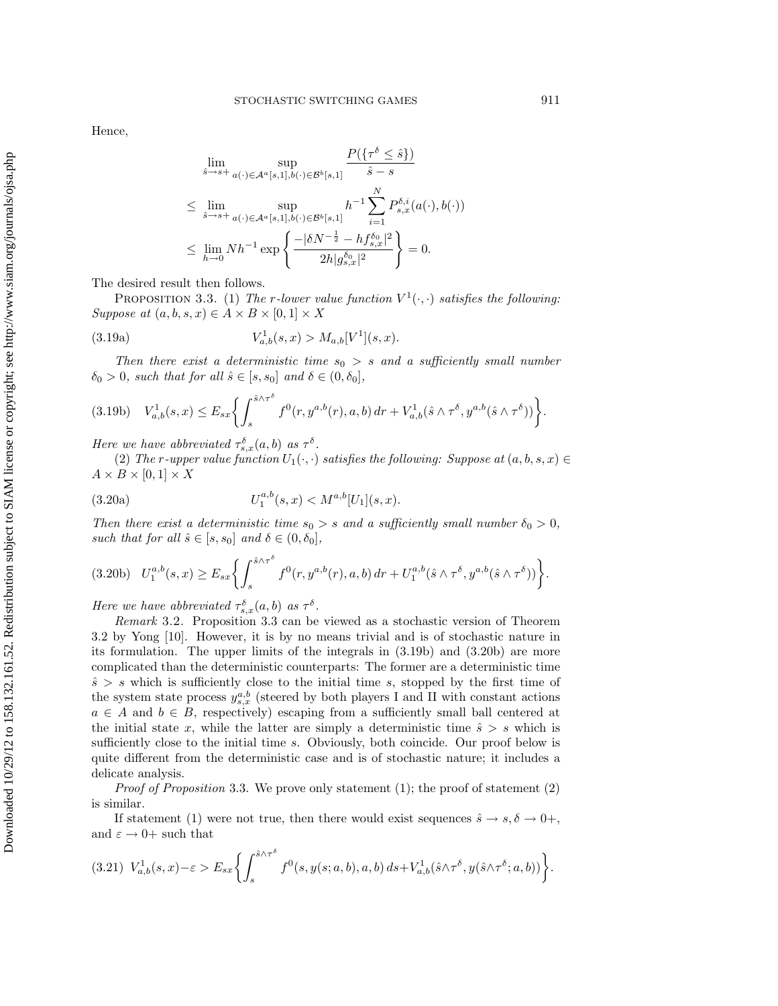Hence,

$$
\lim_{\hat{s}\to s+} \sup_{a(\cdot)\in A^a[s,1],b(\cdot)\in B^b[s,1]} \frac{P(\{\tau^{\delta}\leq \hat{s}\})}{\hat{s}-s}
$$
\n
$$
\leq \lim_{\hat{s}\to s+} \sup_{a(\cdot)\in A^a[s,1],b(\cdot)\in B^b[s,1]} h^{-1} \sum_{i=1}^N P_{s,x}^{\delta,i}(a(\cdot),b(\cdot))
$$
\n
$$
\leq \lim_{h\to 0} Nh^{-1}\exp\left\{\frac{-|\delta N^{-\frac{1}{2}}-hf_{s,x}^{\delta,0}|^2}{2h|g_{s,x}^{\delta_0}|^2}\right\}=0.
$$

The desired result then follows.

PROPOSITION 3.3. (1) The r-lower value function  $V^1(\cdot, \cdot)$  satisfies the following: Suppose at  $(a, b, s, x) \in A \times B \times [0, 1] \times X$ 

(3.19a) 
$$
V_{a,b}^{1}(s,x) > M_{a,b}[V^{1}](s,x).
$$

Then there exist a deterministic time  $s_0 > s$  and a sufficiently small number  $\delta_0 > 0$ , such that for all  $\hat{s} \in [s, s_0]$  and  $\delta \in (0, \delta_0]$ ,

$$
(3.19b) \quad V_{a,b}^{1}(s,x) \leq E_{sx} \bigg\{ \int_{s}^{\hat{s} \wedge \tau^{\delta}} f^{0}(r, y^{a,b}(r), a, b) \, dr + V_{a,b}^{1}(\hat{s} \wedge \tau^{\delta}, y^{a,b}(\hat{s} \wedge \tau^{\delta})) \bigg\}.
$$

Here we have abbreviated  $\tau_{s,x}^{\delta}(a,b)$  as  $\tau^{\delta}$ .

(2) The r-upper value function  $U_1(\cdot, \cdot)$  satisfies the following: Suppose at  $(a, b, s, x) \in$  $A \times B \times [0,1] \times X$ 

(3.20a) 
$$
U_1^{a,b}(s,x) < M^{a,b}[U_1](s,x).
$$

Then there exist a deterministic time  $s_0 > s$  and a sufficiently small number  $\delta_0 > 0$ , such that for all  $\hat{s} \in [s, s_0]$  and  $\delta \in (0, \delta_0]$ ,

$$
(3.20b) \quad U_1^{a,b}(s,x) \ge E_{sx} \bigg\{ \int_s^{\hat{s} \wedge \tau^{\delta}} f^0(r, y^{a,b}(r), a, b) \, dr + U_1^{a,b}(\hat{s} \wedge \tau^{\delta}, y^{a,b}(\hat{s} \wedge \tau^{\delta})) \bigg\}.
$$

Here we have abbreviated  $\tau_{s,x}^{\delta}(a,b)$  as  $\tau^{\delta}$ .

Remark 3.2. Proposition 3.3 can be viewed as a stochastic version of Theorem 3.2 by Yong [10]. However, it is by no means trivial and is of stochastic nature in its formulation. The upper limits of the integrals in (3.19b) and (3.20b) are more complicated than the deterministic counterparts: The former are a deterministic time  $\hat{s} > s$  which is sufficiently close to the initial time s, stopped by the first time of the system state process  $y_{s,x}^{a,b}$  (steered by both players I and II with constant actions  $a \in A$  and  $b \in B$ , respectively) escaping from a sufficiently small ball centered at the initial state x, while the latter are simply a deterministic time  $\hat{s} > s$  which is sufficiently close to the initial time s. Obviously, both coincide. Our proof below is quite different from the deterministic case and is of stochastic nature; it includes a delicate analysis.

*Proof of Proposition* 3.3. We prove only statement  $(1)$ ; the proof of statement  $(2)$ is similar.

If statement (1) were not true, then there would exist sequences  $\hat{s} \to s, \delta \to 0+,$ and  $\varepsilon \to 0^+$  such that

$$
(3.21) \ \ V_{a,b}^{1}(s,x)-\varepsilon > E_{sx}\bigg\{\int_{s}^{\hat{s}\wedge\tau^{\delta}} f^{0}(s,y(s;a,b),a,b) \, ds + V_{a,b}^{1}(\hat{s}\wedge\tau^{\delta},y(\hat{s}\wedge\tau^{\delta};a,b))\bigg\}.
$$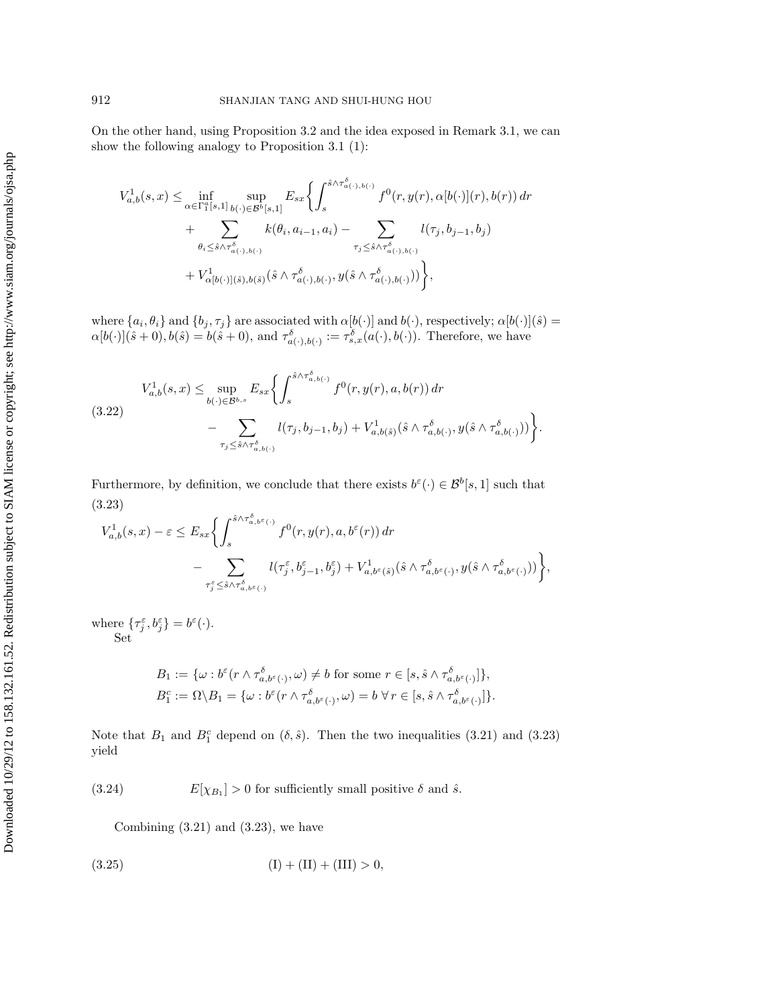On the other hand, using Proposition 3.2 and the idea exposed in Remark 3.1, we can show the following analogy to Proposition 3.1 (1):

$$
V_{a,b}^1(s,x) \leq \inf_{\alpha \in \Gamma_1^{\alpha}[s,1]} \sup_{b(\cdot) \in \mathcal{B}^b[s,1]} E_{sx} \Big\{ \int_s^{\hat{s} \wedge \tau_{a(\cdot),b(\cdot)}^{\delta}} f^0(r,y(r),\alpha[b(\cdot)](r),b(r)) dr + \sum_{\theta_i \leq \hat{s} \wedge \tau_{a(\cdot),b(\cdot)}^{\delta}} k(\theta_i, a_{i-1}, a_i) - \sum_{\tau_j \leq \hat{s} \wedge \tau_{a(\cdot),b(\cdot)}^{\delta}} l(\tau_j, b_{j-1}, b_j) + V_{\alpha[b(\cdot)](\hat{s}),b(\hat{s})}^1(\hat{s} \wedge \tau_{a(\cdot),b(\cdot)}^{\delta}, y(\hat{s} \wedge \tau_{a(\cdot),b(\cdot)}^{\delta})) \Big\},
$$

where  $\{a_i, \theta_i\}$  and  $\{b_j, \tau_j\}$  are associated with  $\alpha[b(\cdot)]$  and  $b(\cdot)$ , respectively;  $\alpha[b(\cdot)](\hat{s}) =$  $\alpha[b(\cdot)](\hat{s}+0), b(\hat{s}) = b(\hat{s}+0)$ , and  $\tau_{a(\cdot),b(\cdot)}^{\delta} := \tau_{s,x}^{\delta}(a(\cdot),b(\cdot))$ . Therefore, we have

$$
V_{a,b}^{1}(s,x) \leq \sup_{b(\cdot) \in \mathcal{B}^{b,s}} E_{sx} \bigg\{ \int_{s}^{\hat{s} \wedge \tau_{a,b(\cdot)}^{\delta}} f^{0}(r, y(r), a, b(r)) dr - \sum_{\tau_{j} \leq \hat{s} \wedge \tau_{a,b(\cdot)}^{\delta}} l(\tau_{j}, b_{j-1}, b_{j}) + V_{a,b(\hat{s})}^{1}(\hat{s} \wedge \tau_{a,b(\cdot)}^{\delta}, y(\hat{s} \wedge \tau_{a,b(\cdot)}^{\delta}))) \bigg\}.
$$

Furthermore, by definition, we conclude that there exists  $b^{\varepsilon}(\cdot) \in \mathcal{B}^b[s, 1]$  such that (3.23)

$$
\begin{aligned} V_{a,b}^1(s,x)-\varepsilon & \leq E_{sx}\bigg\{\int_s^{\hat{s}\wedge\tau_{a,b^{\varepsilon}(\cdot)}^\delta} f^0(r,y(r),a,b^{\varepsilon}(r))\,dr \\ & \quad -\sum_{\tau_j^\varepsilon\leq \hat{s}\wedge\tau_{a,b^{\varepsilon}(\cdot)}^\delta} l(\tau_j^\varepsilon,b_{j-1}^\varepsilon,b_j^\varepsilon)+V_{a,b^{\varepsilon}(\hat{s})}^1(\hat{s}\wedge\tau_{a,b^{\varepsilon}(\cdot)}^\delta,y(\hat{s}\wedge\tau_{a,b^{\varepsilon}(\cdot)}^\delta))\bigg\}, \end{aligned}
$$

where  $\{\tau_j^{\varepsilon}, b_j^{\varepsilon}\}=b^{\varepsilon}(\cdot).$ Set

$$
B_1 := \{ \omega : b^{\varepsilon}(r \wedge \tau_{a,b^{\varepsilon}(\cdot)}^{\delta}, \omega) \neq b \text{ for some } r \in [s, \hat{s} \wedge \tau_{a,b^{\varepsilon}(\cdot)}^{\delta}]\},
$$
  

$$
B_1^c := \Omega \setminus B_1 = \{ \omega : b^{\varepsilon}(r \wedge \tau_{a,b^{\varepsilon}(\cdot)}^{\delta}, \omega) = b \ \forall \, r \in [s, \hat{s} \wedge \tau_{a,b^{\varepsilon}(\cdot)}^{\delta}]\}.
$$

Note that  $B_1$  and  $B_1^c$  depend on  $(\delta, \hat{s})$ . Then the two inequalities (3.21) and (3.23) yield

(3.24)  $E[\chi_{B_1}] > 0$  for sufficiently small positive  $\delta$  and  $\hat{s}$ .

Combining  $(3.21)$  and  $(3.23)$ , we have

$$
(3.25) \t\t (I) + (II) + (III) > 0,
$$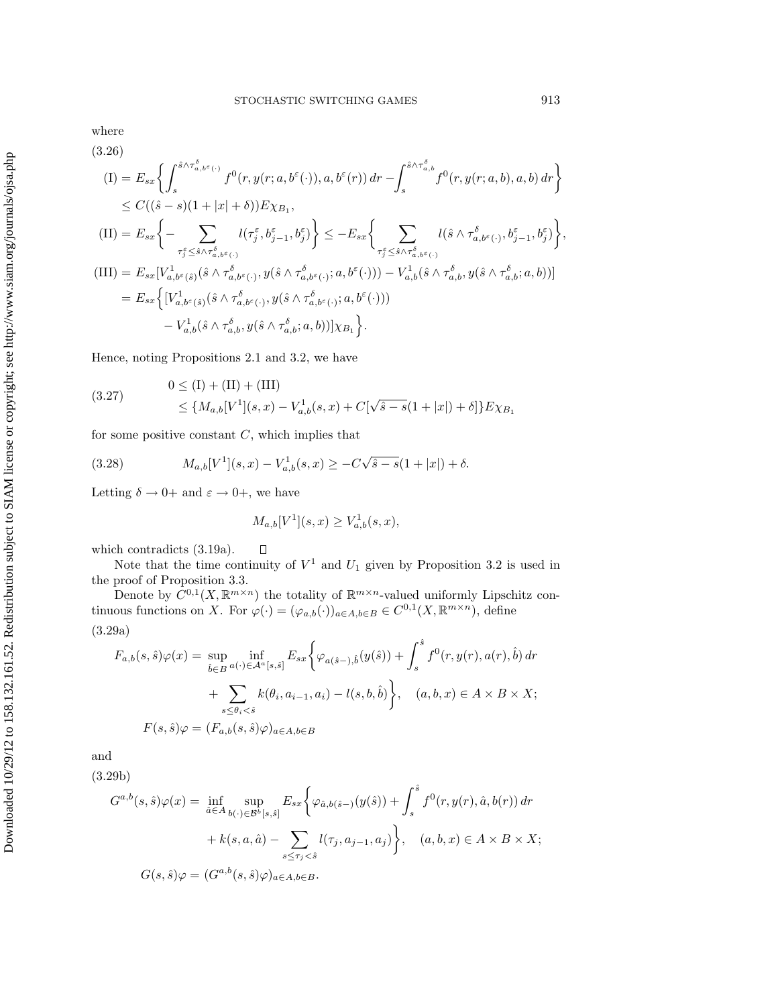where

(3.26)

(II) = 
$$
E_{sx} \Biggl\{ \int_s^{\hat{s} \wedge \tau_{a,b}^{\delta} \in (\cdot)} f^0(r, y(r; a, b^{\epsilon}(\cdot)), a, b^{\epsilon}(r)) dr - \int_s^{\hat{s} \wedge \tau_{a,b}^{\delta}} f^0(r, y(r; a, b), a, b) dr \Biggr\}
$$
  
\n $\leq C((\hat{s} - s)(1 + |x| + \delta)) E \chi_{B_1},$   
\n(II) =  $E_{sx} \Biggl\{ - \sum_{\tau_j^{\epsilon} \leq \hat{s} \wedge \tau_{a,b^{\epsilon}(\cdot)}^{\delta}} l(\tau_j^{\epsilon}, b_{j-1}^{\epsilon}, b_j^{\epsilon}) \Biggr\} \leq -E_{sx} \Biggl\{ \sum_{\tau_j^{\epsilon} \leq \hat{s} \wedge \tau_{a,b^{\epsilon}(\cdot)}^{\delta}} l(\hat{s} \wedge \tau_{a,b^{\epsilon}(\cdot)}^{\delta}, b_{j-1}^{\epsilon}, b_j^{\epsilon}) \Biggr\},$   
\n(III) =  $E_{sx} [V_{a,b^{\epsilon}(\hat{s})}^1(\hat{s} \wedge \tau_{a,b^{\epsilon}(\cdot)}^{\delta}, y(\hat{s} \wedge \tau_{a,b^{\epsilon}(\cdot)}^{\delta}; a, b^{\epsilon}(\cdot))) - V_{a,b}^1(\hat{s} \wedge \tau_{a,b}^{\delta}, y(\hat{s} \wedge \tau_{a,b}^{\delta}; a, b))]$   
\n=  $E_{sx} \Biggl\{ [V_{a,b^{\epsilon}(\hat{s})}^1(\hat{s} \wedge \tau_{a,b^{\epsilon}(\cdot)}^{\delta}, y(\hat{s} \wedge \tau_{a,b^{\epsilon}(\cdot)}^{\delta}; a, b^{\epsilon}(\cdot))) - V_{a,b}^1(\hat{s} \wedge \tau_{a,b}^{\delta}, y(\hat{s} \wedge \tau_{a,b}^{\delta}; a, b))] \chi_{B_1} \Biggr\}.$ 

Hence, noting Propositions 2.1 and 3.2, we have

(3.27) 
$$
0 \leq (I) + (II) + (III) \n\leq \{M_{a,b}[V^1](s,x) - V_{a,b}^1(s,x) + C[\sqrt{\hat{s} - s}(1+|x|) + \delta]\}E\chi_{B_1}
$$

for some positive constant  $C$ , which implies that

(3.28) 
$$
M_{a,b}[V^1](s,x) - V_{a,b}^1(s,x) \geq -C\sqrt{\hat{s} - s}(1+|x|) + \delta.
$$

 $\Box$ 

Letting  $\delta \to 0^+$  and  $\varepsilon \to 0^+$ , we have

$$
M_{a,b}[V^1](s,x) \ge V_{a,b}^1(s,x),
$$

which contradicts (3.19a).

Note that the time continuity of  $V^1$  and  $U_1$  given by Proposition 3.2 is used in the proof of Proposition 3.3.

Denote by  $C^{0,1}(X,\mathbb{R}^{m\times n})$  the totality of  $\mathbb{R}^{m\times n}$ -valued uniformly Lipschitz continuous functions on X. For  $\varphi(\cdot)=(\varphi_{a,b}(\cdot))_{a\in A,b\in B}\in C^{0,1}(X,\mathbb{R}^{m\times n})$ , define (3.29a)

$$
F_{a,b}(s,\hat{s})\varphi(x) = \sup_{\hat{b}\in B} \inf_{a(\cdot)\in\mathcal{A}^a[s,\hat{s}]} E_{sx} \bigg\{ \varphi_{a(\hat{s}-),\hat{b}}(y(\hat{s})) + \int_s^{\hat{s}} f^0(r,y(r),a(r),\hat{b}) dr + \sum_{s\leq \theta_i < \hat{s}} k(\theta_i,a_{i-1},a_i) - l(s,b,\hat{b}) \bigg\}, \quad (a,b,x) \in A \times B \times X;
$$
  

$$
F(s,\hat{s})\varphi = (F_{a,b}(s,\hat{s})\varphi)_{a\in A,b\in B}
$$

and

(3.29b)

$$
G^{a,b}(s,\hat{s})\varphi(x) = \inf_{\hat{a}\in A} \sup_{b(\cdot)\in B^b[s,\hat{s}]} E_{sx}\bigg\{\varphi_{\hat{a},b(\hat{s}-)}(y(\hat{s})) + \int_s^{\hat{s}} f^0(r,y(r),\hat{a},b(r)) dr + k(s,a,\hat{a}) - \sum_{s\leq\tau_j<\hat{s}} l(\tau_j,a_{j-1},a_j) \bigg\}, \quad (a,b,x)\in A\times B\times X;
$$

 $G(s, \hat{s})\varphi = (G^{a,\upsilon}(s, \hat{s})\varphi)_{a\in A, b\in B}.$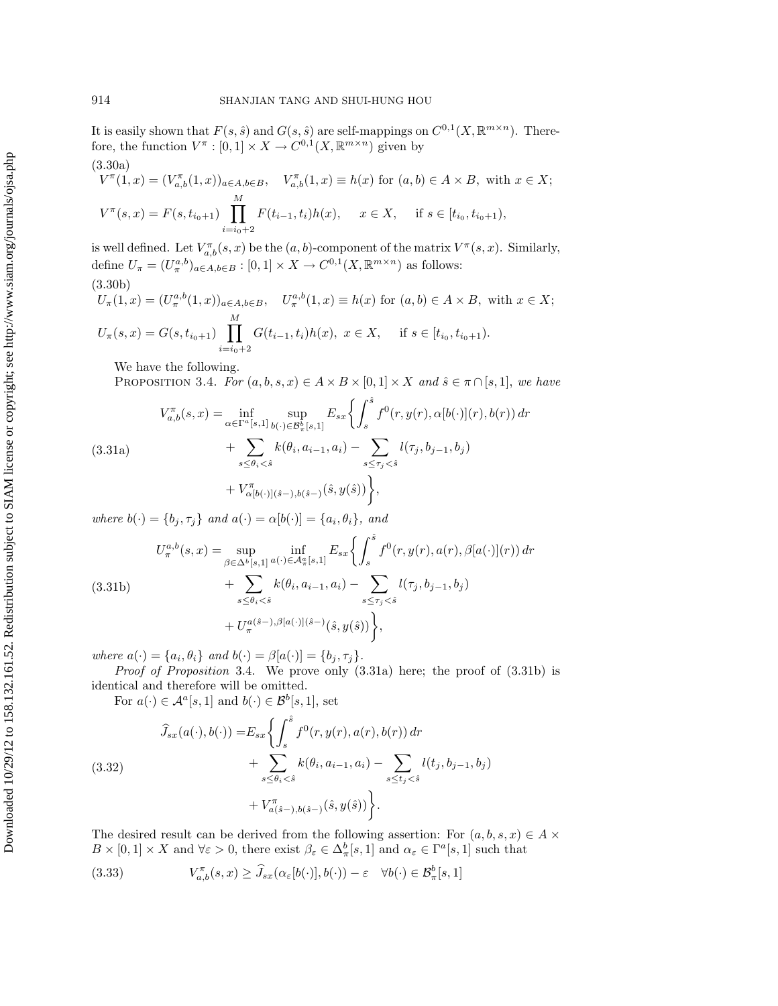It is easily shown that  $F(s, \hat{s})$  and  $G(s, \hat{s})$  are self-mappings on  $C^{0,1}(X, \mathbb{R}^{m \times n})$ . Therefore, the function  $V^{\pi} : [0,1] \times X \to C^{0,1}(X, \mathbb{R}^{m \times n})$  given by (3.30a)

$$
V^{\pi}(1, x) = (V_{a,b}^{\pi}(1, x))_{a \in A, b \in B}, \quad V_{a,b}^{\pi}(1, x) \equiv h(x) \text{ for } (a, b) \in A \times B, \text{ with } x \in X;
$$
  

$$
V^{\pi}(s, x) = F(s, t_{i_0+1}) \prod_{i=i_0+2}^{M} F(t_{i-1}, t_i)h(x), \quad x \in X, \quad \text{if } s \in [t_{i_0}, t_{i_0+1}),
$$

is well defined. Let  $V_{a,b}^{\pi}(s, x)$  be the  $(a, b)$ -component of the matrix  $V^{\pi}(s, x)$ . Similarly, define  $U_{\pi} = (U_{\pi}^{a,b})_{a \in A, b \in B} : [0,1] \times X \to C^{0,1}(X, \mathbb{R}^{m \times n})$  as follows: (3.30b)

$$
U_{\pi}(1, x) = (U_{\pi}^{a,b}(1, x))_{a \in A, b \in B}, \quad U_{\pi}^{a,b}(1, x) \equiv h(x) \text{ for } (a, b) \in A \times B, \text{ with } x \in X;
$$

$$
U_{\pi}(s, x) = G(s, t_{i_0+1}) \prod_{i=i_0+2}^{M} G(t_{i-1}, t_i)h(x), \ x \in X, \quad \text{if } s \in [t_{i_0}, t_{i_0+1}).
$$

We have the following.

PROPOSITION 3.4. For  $(a, b, s, x) \in A \times B \times [0, 1] \times X$  and  $\hat{s} \in \pi \cap [s, 1]$ , we have

$$
(3.31a) \qquad V_{a,b}^{\pi}(s,x) = \inf_{\alpha \in \Gamma^{a}[s,1]} \sup_{b(\cdot) \in \mathcal{B}_{\pi}^{b}[s,1]} E_{sx} \bigg\{ \int_{s}^{\hat{s}} f^{0}(r, y(r), \alpha[b(\cdot)](r), b(r)) dr + \sum_{s \leq \theta_{i} < \hat{s}} k(\theta_{i}, a_{i-1}, a_{i}) - \sum_{s \leq \tau_{j} < \hat{s}} l(\tau_{j}, b_{j-1}, b_{j}) + V_{\alpha[b(\cdot)](\hat{s}-), b(\hat{s}-)}^{\pi}(\hat{s}, y(\hat{s})) \bigg\},
$$

where  $b(\cdot) = \{b_j, \tau_j\}$  and  $a(\cdot) = \alpha[b(\cdot)] = \{a_i, \theta_i\}$ , and

$$
(3.31b) \tU_{\pi}^{a,b}(s,x) = \sup_{\beta \in \Delta^{b}[s,1]} \inf_{a(\cdot) \in \mathcal{A}_{\pi}^{a}[s,1]} E_{sx} \left\{ \int_{s}^{\hat{s}} f^{0}(r, y(r), a(r), \beta[a(\cdot)](r)) dr + \sum_{s \leq \theta_{i} < \hat{s}} k(\theta_{i}, a_{i-1}, a_{i}) - \sum_{s \leq \tau_{j} < \hat{s}} l(\tau_{j}, b_{j-1}, b_{j}) + U_{\pi}^{a(\hat{s}-), \beta[a(\cdot)](\hat{s}-)}(\hat{s}, y(\hat{s})) \right\},
$$

where  $a(\cdot) = \{a_i, \theta_i\}$  and  $b(\cdot) = \beta[a(\cdot)] = \{b_i, \tau_i\}.$ 

Proof of Proposition 3.4. We prove only (3.31a) here; the proof of (3.31b) is identical and therefore will be omitted.

For  $a(\cdot) \in \mathcal{A}^a[s,1]$  and  $b(\cdot) \in \mathcal{B}^b[s,1]$ , set

(3.32)  
\n
$$
\widehat{J}_{sx}(a(\cdot), b(\cdot)) = E_{sx} \Biggl\{ \int_s^{\hat{s}} f^0(r, y(r), a(r), b(r)) dr + \sum_{s \le \theta_i < \hat{s}} k(\theta_i, a_{i-1}, a_i) - \sum_{s \le t_j < \hat{s}} l(t_j, b_{j-1}, b_j) + V_{a(\hat{s}-), b(\hat{s}-)}^{\pi}(\hat{s}, y(\hat{s})) \Biggr\}.
$$

The desired result can be derived from the following assertion: For  $(a, b, s, x) \in A \times$  $B \times [0,1] \times X$  and  $\forall \varepsilon > 0$ , there exist  $\beta_{\varepsilon} \in \Delta_{\pi}^{b}[s,1]$  and  $\alpha_{\varepsilon} \in \Gamma^{a}[s,1]$  such that

(3.33) 
$$
V_{a,b}^{\pi}(s,x) \geq \widehat{J}_{sx}(\alpha_{\varepsilon}[b(\cdot)],b(\cdot)) - \varepsilon \quad \forall b(\cdot) \in \mathcal{B}_{\pi}^{b}[s,1]
$$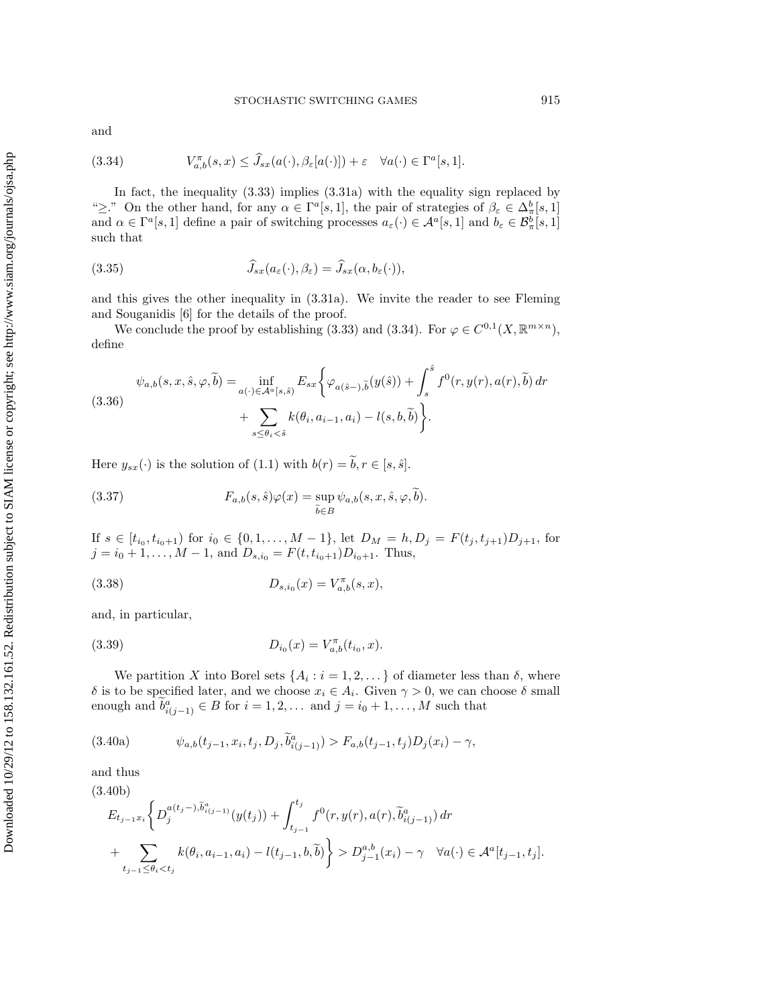and

(3.34) 
$$
V_{a,b}^{\pi}(s,x) \leq \widehat{J}_{sx}(a(\cdot),\beta_{\varepsilon}[a(\cdot)]) + \varepsilon \quad \forall a(\cdot) \in \Gamma^{a}[s,1].
$$

In fact, the inequality (3.33) implies (3.31a) with the equality sign replaced by " $\geq$ ." On the other hand, for any  $\alpha \in \Gamma^a[s,1]$ , the pair of strategies of  $\beta_{\varepsilon} \in \Delta^b_{\pi}[s,1]$ and  $\alpha \in \Gamma^a[s,1]$  define a pair of switching processes  $a_{\varepsilon}(\cdot) \in \mathcal{A}^a[s,1]$  and  $b_{\varepsilon} \in \mathcal{B}^b_\pi[s,1]$ such that

(3.35) 
$$
\widehat{J}_{sx}(a_{\varepsilon}(\cdot),\beta_{\varepsilon})=\widehat{J}_{sx}(\alpha,b_{\varepsilon}(\cdot)),
$$

and this gives the other inequality in (3.31a). We invite the reader to see Fleming and Souganidis [6] for the details of the proof.

We conclude the proof by establishing (3.33) and (3.34). For  $\varphi \in C^{0,1}(X, \mathbb{R}^{m \times n})$ , define

$$
\psi_{a,b}(s,x,\hat{s},\varphi,\tilde{b}) = \inf_{a(\cdot)\in\mathcal{A}^a[s,\hat{s})} E_{sx} \bigg\{ \varphi_{a(\hat{s}-),\tilde{b}}(y(\hat{s})) + \int_s^{\hat{s}} f^0(r,y(r),a(r),\tilde{b}) dr + \sum_{s\leq\theta_i<\hat{s}} k(\theta_i,a_{i-1},a_i) - l(s,b,\tilde{b}) \bigg\}.
$$

Here  $y_{sx}(\cdot)$  is the solution of (1.1) with  $b(r) = \tilde{b}, r \in [s, \hat{s}]$ .

(3.37) 
$$
F_{a,b}(s,\hat{s})\varphi(x) = \sup_{\widetilde{b}\in B} \psi_{a,b}(s,x,\hat{s},\varphi,\widetilde{b}).
$$

If  $s \in [t_{i_0}, t_{i_0+1})$  for  $i_0 \in \{0, 1, ..., M-1\}$ , let  $D_M = h, D_j = F(t_j, t_{j+1})D_{j+1}$ , for  $j = i_0 + 1, \ldots, M - 1$ , and  $D_{s,i_0} = F(t, t_{i_0+1})D_{i_0+1}$ . Thus,

(3.38) 
$$
D_{s,i_0}(x) = V_{a,b}^{\pi}(s,x),
$$

and, in particular,

(3.39) 
$$
D_{i_0}(x) = V_{a,b}^{\pi}(t_{i_0}, x).
$$

We partition X into Borel sets  $\{A_i : i = 1, 2, ...\}$  of diameter less than  $\delta$ , where δ is to be specified later, and we choose  $x_i$  ∈  $A_i$ . Given  $γ > 0$ , we can choose δ small enough and  $\tilde{b}_{i(j-1)}^a \in B$  for  $i = 1, 2, \ldots$  and  $j = i_0 + 1, \ldots, M$  such that

$$
(3.40a) \t\t \psi_{a,b}(t_{j-1}, x_i, t_j, D_j, \widetilde{b}_{i(j-1)}^a) > F_{a,b}(t_{j-1}, t_j)D_j(x_i) - \gamma,
$$

and thus

$$
(3.40b)
$$
  
\n
$$
E_{t_{j-1}x_i} \left\{ D_j^{a(t_j-),\tilde{b}_{i(j-1)}^a}(y(t_j)) + \int_{t_{j-1}}^{t_j} f^0(r, y(r), a(r), \tilde{b}_{i(j-1)}^a) dr + \sum_{t_{j-1} \leq \theta_i < t_j} k(\theta_i, a_{i-1}, a_i) - l(t_{j-1}, b, \tilde{b}) \right\} > D_{j-1}^{a,b}(x_i) - \gamma \quad \forall a(\cdot) \in \mathcal{A}^a[t_{j-1}, t_j].
$$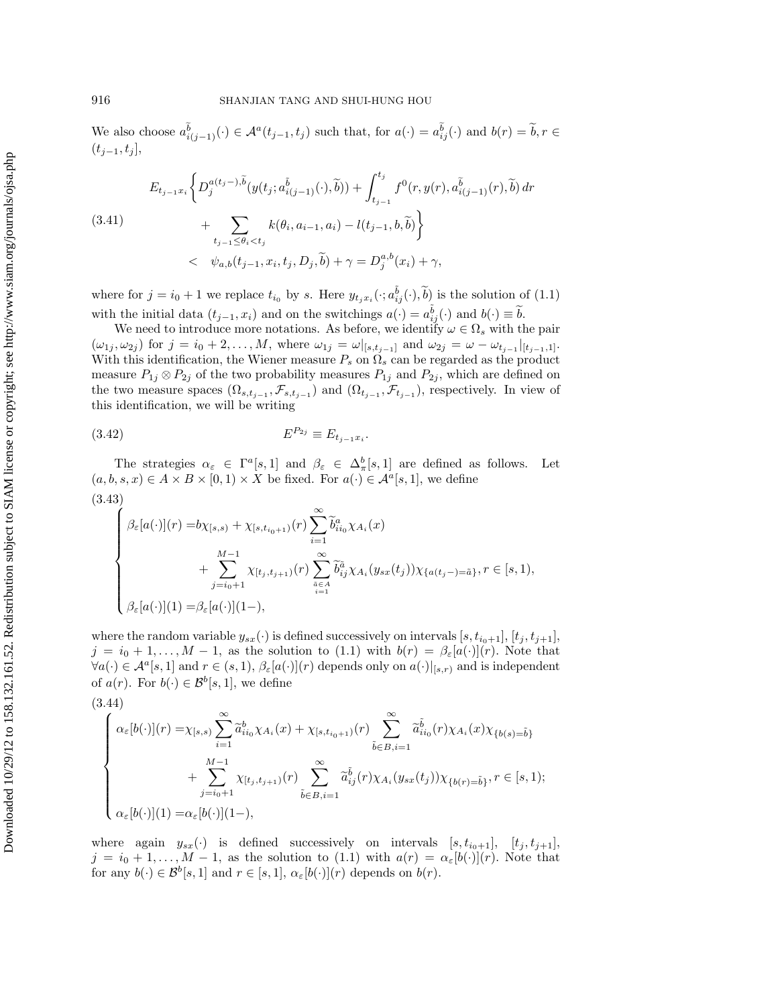We also choose  $a_{i(j-1)}^b(\cdot) \in \mathcal{A}^a(t_{j-1}, t_j)$  such that, for  $a(\cdot) = a_{ij}^b(\cdot)$  and  $b(r) = \tilde{b}, r \in$  $(t_{i-1}, t_i],$ 

(3.41)  
\n
$$
E_{t_{j-1}x_i} \left\{ D_j^{a(t_j-),\tilde{b}}(y(t_j; a_{i(j-1)}^{\tilde{b}}(\cdot), \tilde{b})) + \int_{t_{j-1}}^{t_j} f^0(r, y(r), a_{i(j-1)}^{\tilde{b}}(r), \tilde{b}) dr + \sum_{t_{j-1} \leq \theta_i < t_j} k(\theta_i, a_{i-1}, a_i) - l(t_{j-1}, b, \tilde{b}) \right\}
$$
\n
$$
< \psi_{a,b}(t_{j-1}, x_i, t_j, D_j, \tilde{b}) + \gamma = D_j^{a,b}(x_i) + \gamma,
$$

where for  $j = i_0 + 1$  we replace  $t_{i_0}$  by s. Here  $y_{t_j x_i}(\cdot; a_{ij}^{\tilde{b}}(\cdot), \tilde{b})$  is the solution of  $(1.1)$ with the initial data  $(t_{j-1}, x_i)$  and on the switchings  $a(\cdot) = a_{ij}^{\tilde{b}}(\cdot)$  and  $b(\cdot) \equiv \tilde{b}$ .

We need to introduce more notations. As before, we identify  $\omega \in \Omega_s$  with the pair  $(\omega_{1j}, \omega_{2j})$  for  $j = i_0 + 2, \ldots, M$ , where  $\omega_{1j} = \omega|_{[s,t_{j-1}]}$  and  $\omega_{2j} = \omega - \omega_{t_{j-1}}|_{[t_{j-1},1]}$ . With this identification, the Wiener measure  $P_s$  on  $\Omega_s$  can be regarded as the product measure  $P_{1j} \otimes P_{2j}$  of the two probability measures  $P_{1j}$  and  $P_{2j}$ , which are defined on the two measure spaces  $(\Omega_{s,t_{j-1}}, \mathcal{F}_{s,t_{j-1}})$  and  $(\Omega_{t_{j-1}}, \mathcal{F}_{t_{j-1}})$ , respectively. In view of this identification, we will be writing

$$
(3.42) \t\t\t\t E^{P_{2j}} \equiv E_{t_{j-1}x_i}.
$$

The strategies  $\alpha_{\varepsilon} \in \Gamma^a[s,1]$  and  $\beta_{\varepsilon} \in \Delta^b_{\pi}[s,1]$  are defined as follows. Let  $(a, b, s, x) \in A \times B \times [0, 1) \times X$  be fixed. For  $a(\cdot) \in \mathcal{A}^a[s, 1]$ , we define (3.43)

$$
\begin{cases}\n\beta_{\varepsilon}[a(\cdot)](r) = b\chi_{[s,s)} + \chi_{[s,t_{i_0+1})}(r) \sum_{i=1}^{\infty} \widetilde{b}_{ii_0}^a \chi_{A_i}(x) \\
+ \sum_{j=i_0+1}^{M-1} \chi_{[t_j,t_{j+1})}(r) \sum_{\substack{\tilde{a} \in A \\ i=1}}^{\infty} \widetilde{b}_{ij}^{\tilde{a}} \chi_{A_i}(y_{sx}(t_j)) \chi_{\{a(t_j-) = \tilde{a}\}}, r \in [s,1), \\
\beta_{\varepsilon}[a(\cdot)](1) = \beta_{\varepsilon}[a(\cdot)](1-),\n\end{cases}
$$

where the random variable  $y_{sx}(\cdot)$  is defined successively on intervals  $[s, t_{i_0+1}], [t_j, t_{j+1}],$  $j = i_0 + 1, \ldots, M - 1$ , as the solution to  $(1.1)$  with  $b(r) = \beta_{\varepsilon}[a(\cdot)](r)$ . Note that  $\forall a(\cdot) \in \mathcal{A}^a[s,1] \text{ and } r \in (s,1), \beta_{\varepsilon}[a(\cdot)](r) \text{ depends only on } a(\cdot)|_{[s,r)} \text{ and is independent}$ of  $a(r)$ . For  $b(\cdot) \in \mathcal{B}^b[s, 1]$ , we define

(3.44)

$$
\begin{cases}\n\alpha_{\varepsilon}[b(\cdot)](r) = \chi_{[s,s)} \sum_{i=1}^{\infty} \tilde{a}_{ii_0}^b \chi_{A_i}(x) + \chi_{[s,t_{i_0+1})}(r) \sum_{\tilde{b}\in B, i=1}^{\infty} \tilde{a}_{ii_0}^{\tilde{b}}(r) \chi_{A_i}(x) \chi_{\{b(s)=\tilde{b}\}} \\
+ \sum_{j=i_0+1}^{M-1} \chi_{[t_j,t_{j+1})}(r) \sum_{\tilde{b}\in B, i=1}^{\infty} \tilde{a}_{ij}^{\tilde{b}}(r) \chi_{A_i}(y_{sx}(t_j)) \chi_{\{b(r)=\tilde{b}\}}, r \in [s, 1); \\
\alpha_{\varepsilon}[b(\cdot)](1) = \alpha_{\varepsilon}[b(\cdot)](1-),\n\end{cases}
$$

where again  $y_{sx}(\cdot)$  is defined successively on intervals  $[s, t_{i_0+1}], [t_j, t_{j+1}],$  $j = i_0 + 1, \ldots, M - 1$ , as the solution to  $(1.1)$  with  $a(r) = \alpha_{\varepsilon}[b(\cdot)](r)$ . Note that for any  $b(\cdot) \in \mathcal{B}^b[s,1]$  and  $r \in [s,1], \alpha_{\varepsilon}[b(\cdot)](r)$  depends on  $b(r)$ .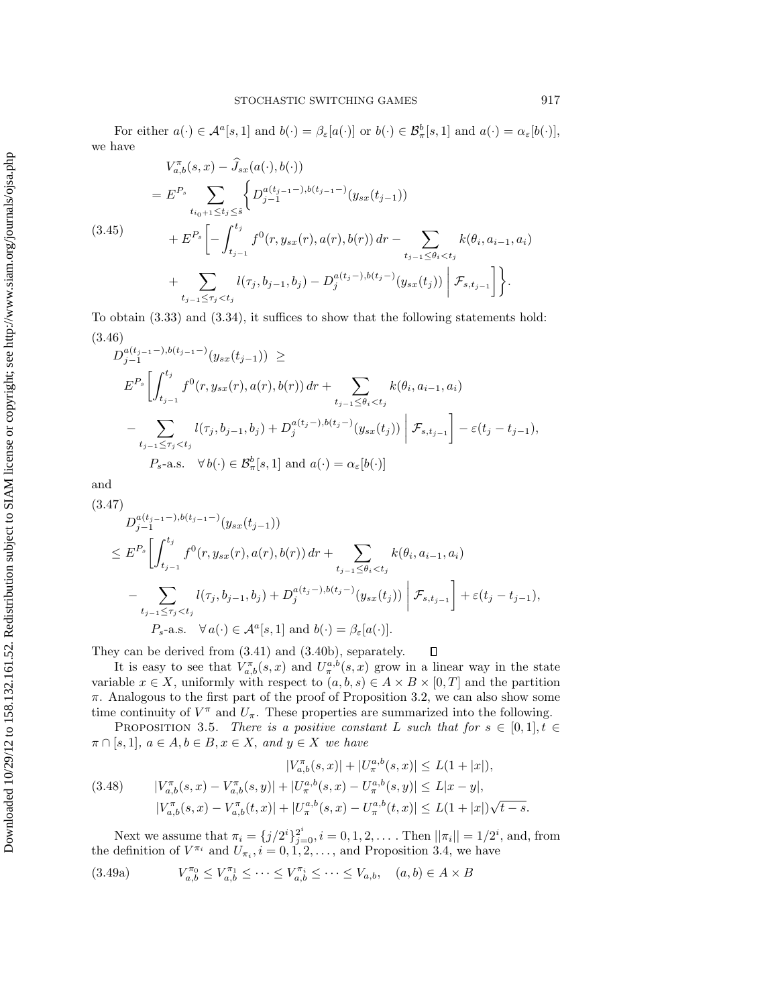For either  $a(\cdot) \in \mathcal{A}^a[s,1]$  and  $b(\cdot) = \beta_{\varepsilon}[a(\cdot)]$  or  $b(\cdot) \in \mathcal{B}^b_{\pi}[s,1]$  and  $a(\cdot) = \alpha_{\varepsilon}[b(\cdot)],$ we have

$$
(3.45)
$$

$$
V_{a,b}^{\pi}(s, x) - \hat{J}_{sx}(a(\cdot), b(\cdot))
$$
  
=  $E^{P_s} \sum_{t_{i_0+1} \le t_j \le s} \left\{ D_{j-1}^{a(t_{j-1}-), b(t_{j-1}-)}(y_{sx}(t_{j-1})) + E^{P_s} \left[ - \int_{t_{j-1}}^{t_j} f^0(r, y_{sx}(r), a(r), b(r)) dr - \sum_{t_{j-1} \le \theta_i < t_j} k(\theta_i, a_{i-1}, a_i) + \sum_{t_{j-1} \le \tau_j < t_j} l(\tau_j, b_{j-1}, b_j) - D_j^{a(t_j-), b(t_j-)}(y_{sx}(t_j)) \right| \mathcal{F}_{s, t_{j-1}} \right\}.$ 

To obtain (3.33) and (3.34), it suffices to show that the following statements hold: (3.46)

$$
D_{j-1}^{a(t_{j-1}-),b(t_{j-1}-)}(y_{sx}(t_{j-1})) \ge
$$
\n
$$
E^{P_s} \left[ \int_{t_{j-1}}^{t_j} f^0(r, y_{sx}(r), a(r), b(r)) dr + \sum_{t_{j-1} \le \theta_i < t_j} k(\theta_i, a_{i-1}, a_i) \right]
$$
\n
$$
- \sum_{t_{j-1} \le \tau_j < t_j} l(\tau_j, b_{j-1}, b_j) + D_j^{a(t_j-),b(t_j-)}(y_{sx}(t_j)) \middle| \mathcal{F}_{s, t_{j-1}} \right] - \varepsilon(t_j - t_{j-1}),
$$
\n
$$
P_s
$$
-a.s.  $\forall b(\cdot) \in \mathcal{B}_{\pi}^b[s, 1] \text{ and } a(\cdot) = \alpha_{\varepsilon}[b(\cdot)]$ 

and

$$
(3.47)
$$
\n
$$
D_{j-1}^{a(t_{j-1}-),b(t_{j-1}-)}(y_{sx}(t_{j-1}))
$$
\n
$$
\leq E^{P_s} \left[ \int_{t_{j-1}}^{t_j} f^0(r, y_{sx}(r), a(r), b(r)) dr + \sum_{t_{j-1} \leq \theta_i < t_j} k(\theta_i, a_{i-1}, a_i) \right]
$$
\n
$$
- \sum_{t_{j-1} \leq \tau_j < t_j} l(\tau_j, b_{j-1}, b_j) + D_j^{a(t_j-),b(t_j-)}(y_{sx}(t_j)) \middle| \mathcal{F}_{s, t_{j-1}} \right] + \varepsilon(t_j - t_{j-1}),
$$
\n
$$
P_s - a.s. \quad \forall a(\cdot) \in \mathcal{A}^a[s, 1] \text{ and } b(\cdot) = \beta_{\varepsilon}[a(\cdot)].
$$

They can be derived from (3.41) and (3.40b), separately.

It is easy to see that  $V_{a,b}^{\pi}(s,x)$  and  $U_{\pi}^{a,b}(s,x)$  grow in a linear way in the state variable  $x \in X$ , uniformly with respect to  $(a, b, s) \in A \times B \times [0, T]$  and the partition  $\pi$ . Analogous to the first part of the proof of Proposition 3.2, we can also show some time continuity of  $V^{\pi}$  and  $U_{\pi}$ . These properties are summarized into the following.

 $\Box$ 

PROPOSITION 3.5. There is a positive constant L such that for  $s \in [0,1], t \in$  $\pi \cap [s, 1], a \in A, b \in B, x \in X, and y \in X$  we have

$$
|V_{a,b}^{\pi}(s,x)| + |U_{\pi}^{a,b}(s,x)| \le L(1+|x|),
$$
  
(3.48) 
$$
|V_{a,b}^{\pi}(s,x) - V_{a,b}^{\pi}(s,y)| + |U_{\pi}^{a,b}(s,x) - U_{\pi}^{a,b}(s,y)| \le L|x-y|,
$$

$$
|V_{a,b}^{\pi}(s,x) - V_{a,b}^{\pi}(t,x)| + |U_{\pi}^{a,b}(s,x) - U_{\pi}^{a,b}(t,x)| \le L(1+|x|)\sqrt{t-s}.
$$

Next we assume that  $\pi_i = \{j/2^i\}_{j=0}^{2^i}, i = 0, 1, 2, \dots$  . Then  $||\pi_i|| = 1/2^i$ , and, from the definition of  $V^{\pi_i}$  and  $U_{\pi_i}$ ,  $i = 0, \tilde{1}, 2, \ldots$ , and Proposition 3.4, we have

$$
(3.49a) \t V_{a,b}^{\pi_0} \le V_{a,b}^{\pi_1} \le \dots \le V_{a,b}^{\pi_i} \le \dots \le V_{a,b}, \quad (a,b) \in A \times B
$$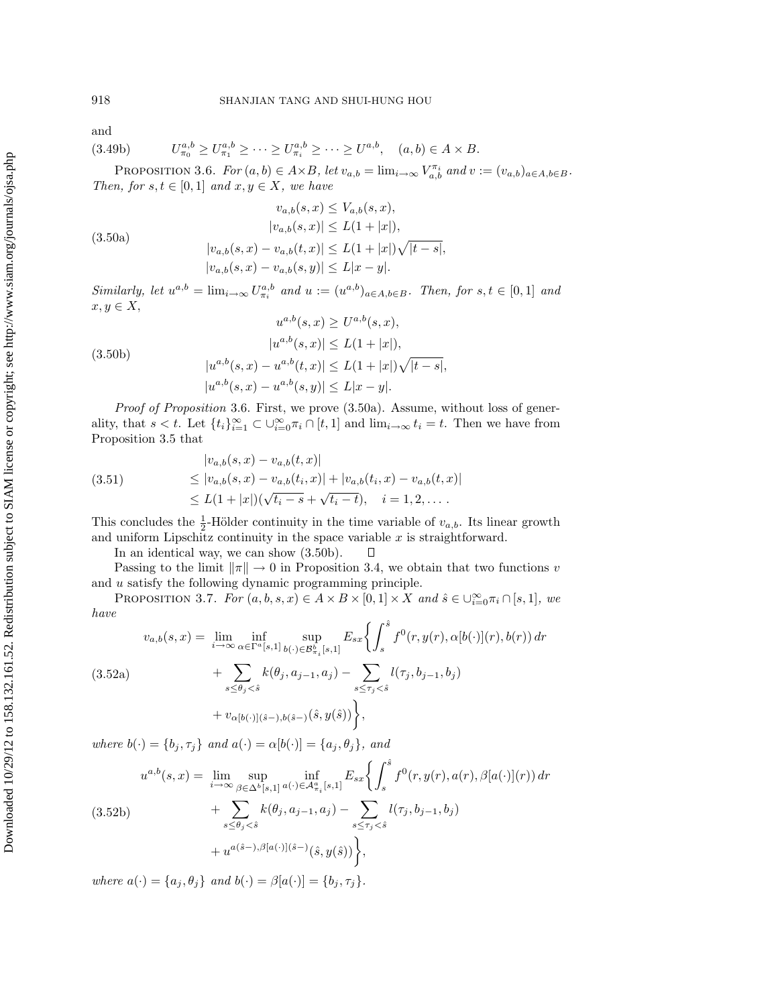and

$$
(3.49b) \t U_{\pi_0}^{a,b} \geq U_{\pi_1}^{a,b} \geq \cdots \geq U_{\pi_i}^{a,b} \geq \cdots \geq U_{a,b}^{a,b}, \quad (a,b) \in A \times B.
$$

PROPOSITION 3.6.  $For (a, b) \in A \times B$ , let  $v_{a,b} = \lim_{i \to \infty} V_{a,b}^{\pi_i}$  and  $v := (v_{a,b})_{a \in A, b \in B}$ . Then, for  $s, t \in [0,1]$  and  $x, y \in X$ , we have

(3.50a)  
\n
$$
v_{a,b}(s,x) \le V_{a,b}(s,x),
$$
\n
$$
|v_{a,b}(s,x)| \le L(1+|x|),
$$
\n
$$
|v_{a,b}(s,x) - v_{a,b}(t,x)| \le L(1+|x|)\sqrt{|t-s|},
$$
\n
$$
|v_{a,b}(s,x) - v_{a,b}(s,y)| \le L|x-y|.
$$

Similarly, let  $u^{a,b} = \lim_{i \to \infty} U^{a,b}_{\pi_i}$  and  $u := (u^{a,b})_{a \in A, b \in B}$ . Then, for  $s, t \in [0,1]$  and  $x, y \in X$ ,  $u^{a,b}(s, x) > U^{a,b}(s, x),$ 

(3.50b)  
\n
$$
|u^{a,b}(s,x)| \le L(1+|x|),
$$
\n
$$
|u^{a,b}(s,x) - u^{a,b}(t,x)| \le L(1+|x|)\sqrt{|t-s|},
$$
\n
$$
|u^{a,b}(s,x) - u^{a,b}(s,y)| \le L|x-y|.
$$

Proof of Proposition 3.6. First, we prove  $(3.50a)$ . Assume, without loss of generality, that  $s < t$ . Let  $\{t_i\}_{i=1}^{\infty} \subset \bigcup_{i=0}^{\infty} \pi_i \cap [t,1]$  and  $\lim_{i \to \infty} t_i = t$ . Then we have from Proposition 3.5 that

(3.51) 
$$
\begin{aligned} |v_{a,b}(s,x) - v_{a,b}(t,x)| \\ &\leq |v_{a,b}(s,x) - v_{a,b}(t_i,x)| + |v_{a,b}(t_i,x) - v_{a,b}(t,x)| \\ &\leq L(1+|x|)(\sqrt{t_i-s} + \sqrt{t_i-t}), \quad i=1,2,\dots. \end{aligned}
$$

This concludes the  $\frac{1}{2}$ -Hölder continuity in the time variable of  $v_{a,b}$ . Its linear growth and uniform Lipschitz continuity in the space variable  $x$  is straightforward.

In an identical way, we can show (3.50b).  $\Box$ 

Passing to the limit  $\|\pi\| \to 0$  in Proposition 3.4, we obtain that two functions v and  $u$  satisfy the following dynamic programming principle.

PROPOSITION 3.7. For  $(a, b, s, x) \in A \times B \times [0, 1] \times X$  and  $\hat{s} \in \bigcup_{i=0}^{\infty} \pi_i \cap [s, 1]$ , we have

$$
v_{a,b}(s,x) = \lim_{i \to \infty} \inf_{\alpha \in \Gamma^a[s,1]} \sup_{b(\cdot) \in \mathcal{B}_{\pi_i}^b[s,1]} E_{sx} \left\{ \int_s^{\hat{s}} f^0(r, y(r), \alpha[b(\cdot)](r), b(r)) dr + \sum_{s \le \theta_j < \hat{s}} k(\theta_j, a_{j-1}, a_j) - \sum_{s \le \tau_j < \hat{s}} l(\tau_j, b_{j-1}, b_j) + v_{\alpha[b(\cdot)](\hat{s} -), b(\hat{s} -)}(\hat{s}, y(\hat{s})) \right\},
$$

where  $b(\cdot) = \{b_j, \tau_j\}$  and  $a(\cdot) = \alpha[b(\cdot)] = \{a_j, \theta_j\}$ , and

$$
u^{a,b}(s,x) = \lim_{i \to \infty} \sup_{\beta \in \Delta^b[s,1]} \inf_{a(\cdot) \in \mathcal{A}^a_{\pi_i}[s,1]} E_{sx} \left\{ \int_s^{\hat{s}} f^0(r, y(r), a(r), \beta[a(\cdot)](r)) dr \right\}
$$
  
(3.52b)  

$$
+ \sum_{s \leq \theta_j < \hat{s}} k(\theta_j, a_{j-1}, a_j) - \sum_{s \leq \tau_j < \hat{s}} l(\tau_j, b_{j-1}, b_j)
$$
  

$$
+ u^{a(\hat{s}-), \beta[a(\cdot)](\hat{s}-)}(\hat{s}, y(\hat{s})) \right\},
$$
  
where  $a(\cdot) = \{a_i, \theta_i\}$  and  $b(\cdot) = \beta[a(\cdot)] = \{b_i, \tau_i\}$ 

where  $a(\cdot) = \{a_j, \theta_j\}$  and  $b(\cdot) = \beta[a(\cdot)] = \{b_j, \tau_j\}$ .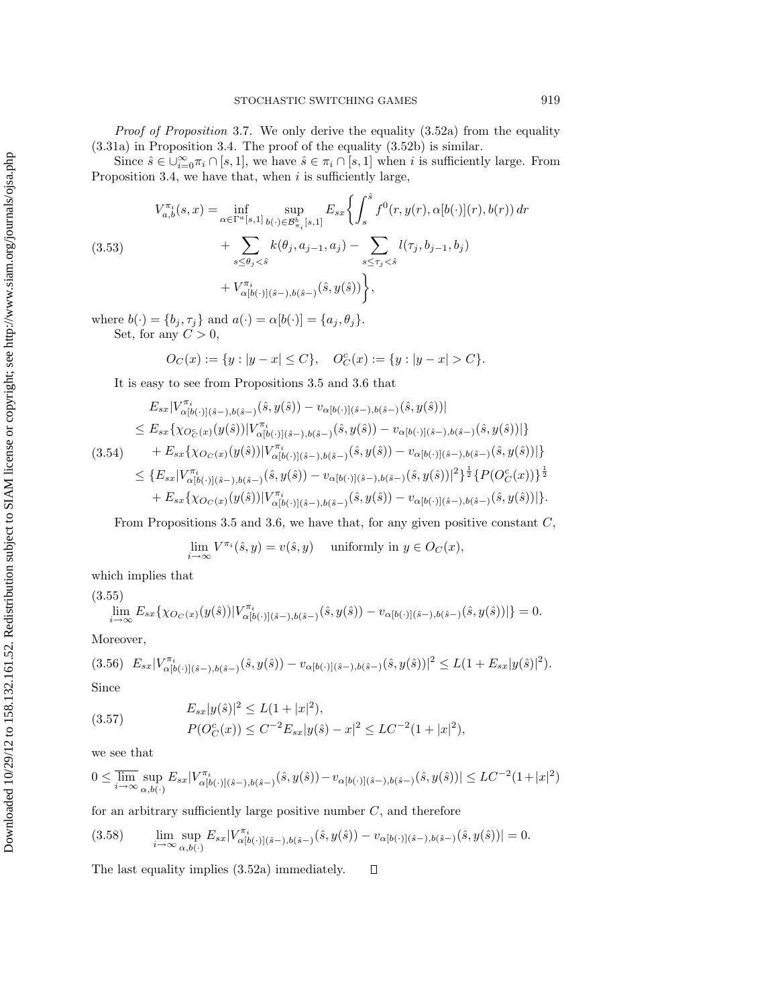Proof of Proposition 3.7. We only derive the equality (3.52a) from the equality (3.31a) in Proposition 3.4. The proof of the equality (3.52b) is similar.

Since  $\hat{s} \in \bigcup_{i=0}^{\infty} \pi_i \cap [s,1]$ , we have  $\hat{s} \in \pi_i \cap [s,1]$  when i is sufficiently large. From Proposition 3.4, we have that, when  $i$  is sufficiently large,

$$
V_{a,b}^{\pi_i}(s,x) = \inf_{\alpha \in \Gamma^a[s,1]} \sup_{b(\cdot) \in \mathcal{B}_{\pi_i}^b[s,1]} E_{sx} \left\{ \int_s^{\hat{s}} f^0(r, y(r), \alpha[b(\cdot)](r), b(r)) dr + \sum_{s \le \theta_j < \hat{s}} k(\theta_j, a_{j-1}, a_j) - \sum_{s \le \tau_j < \hat{s}} l(\tau_j, b_{j-1}, b_j) + V_{\alpha[b(\cdot)](\hat{s}-), b(\hat{s}-)}^{\pi_i}(\hat{s}, y(\hat{s})) \right\},
$$

where  $b(\cdot) = \{b_j, \tau_j\}$  and  $a(\cdot) = \alpha[b(\cdot)] = \{a_j, \theta_j\}.$ Set, for any  $C > 0$ ,

$$
O_C(x):=\{y: |y-x|\leq C\}, \quad O_C^c(x):=\{y: |y-x|>C\}.
$$

It is easy to see from Propositions 3.5 and 3.6 that

$$
E_{sx}|V_{\alpha[b(\cdot)](\hat{s}-),b(\hat{s}-)}^{\pi_{i}}(\hat{s},y(\hat{s})) - v_{\alpha[b(\cdot)](\hat{s}-),b(\hat{s}-)}(\hat{s},y(\hat{s}))|
$$
  
\n
$$
\leq E_{sx}\{\chi_{O_{C}^{c}(x)}(y(\hat{s}))|V_{\alpha[b(\cdot)](\hat{s}-),b(\hat{s}-)}^{\pi_{i}}(\hat{s},y(\hat{s})) - v_{\alpha[b(\cdot)](\hat{s}-),b(\hat{s}-)}(\hat{s},y(\hat{s}))|\}
$$
  
\n
$$
+ E_{sx}\{\chi_{O_{C}(x)}(y(\hat{s}))|V_{\alpha[b(\cdot)](\hat{s}-),b(\hat{s}-)}^{\pi_{i}}(\hat{s},y(\hat{s})) - v_{\alpha[b(\cdot)](\hat{s}-),b(\hat{s}-)}(\hat{s},y(\hat{s}))|\}
$$
  
\n
$$
\leq \{E_{sx}|V_{\alpha[b(\cdot)](\hat{s}-),b(\hat{s}-)}^{\pi_{i}}(\hat{s},y(\hat{s})) - v_{\alpha[b(\cdot)](\hat{s}-),b(\hat{s}-)}(\hat{s},y(\hat{s}))|^{2}\}^{\frac{1}{2}}\{P(O_{C}^{c}(x))\}^{\frac{1}{2}}
$$
  
\n
$$
+ E_{sx}\{\chi_{O_{C}(x)}(y(\hat{s}))|V_{\alpha[b(\cdot)](\hat{s}-),b(\hat{s}-)}^{\pi_{i}}(\hat{s},y(\hat{s})) - v_{\alpha[b(\cdot)](\hat{s}-),b(\hat{s}-)}(\hat{s},y(\hat{s}))|\}.
$$

From Propositions 3.5 and 3.6, we have that, for any given positive constant  $C$ ,

$$
\lim_{i \to \infty} V^{\pi_i}(\hat{s}, y) = v(\hat{s}, y) \quad \text{ uniformly in } y \in O_C(x),
$$

which implies that

(3.55)  $\lim_{i \to \infty} E_{sx} \{ \chi_{O_C(x)}(y(\hat{s})) | V_{\alpha[b(\cdot)](\hat{s}-),b(\hat{s}-)}^{\pi_i}(\hat{s},y(\hat{s})) - v_{\alpha[b(\cdot)](\hat{s}-),b(\hat{s}-)}(\hat{s},y(\hat{s}))| \} = 0.$ 

Moreover,

$$
(3.56)\ \ E_{sx}|V^{\pi_i}_{\alpha[b(\cdot)](\hat{s}-),b(\hat{s}-)}(\hat{s},y(\hat{s})) - v_{\alpha[b(\cdot)](\hat{s}-),b(\hat{s}-)}(\hat{s},y(\hat{s}))|^2 \le L(1 + E_{sx}|y(\hat{s})|^2).
$$

Since

(3.57) 
$$
E_{sx}|y(\hat{s})|^2 \le L(1+|x|^2),
$$

$$
P(O_C^c(x)) \le C^{-2}E_{sx}|y(\hat{s}) - x|^2 \le LC^{-2}(1+|x|^2),
$$

we see that

$$
0 \le \overline{\lim}_{i \to \infty} \sup_{\alpha, b(\cdot)} E_{sx} |V^{\pi_i}_{\alpha[b(\cdot)](\hat{s}-), b(\hat{s}-)}(\hat{s}, y(\hat{s})) - v_{\alpha[b(\cdot)](\hat{s}-), b(\hat{s}-)}(\hat{s}, y(\hat{s}))| \le LC^{-2} (1 + |x|^2)
$$

for an arbitrary sufficiently large positive number  $C$ , and therefore

$$
(3.58) \qquad \lim_{i \to \infty} \sup_{\alpha, b(\cdot)} E_{sx} |V^{\pi_i}_{\alpha[b(\cdot)](\hat{s}-), b(\hat{s}-)}(\hat{s}, y(\hat{s})) - v_{\alpha[b(\cdot)](\hat{s}-), b(\hat{s}-)}(\hat{s}, y(\hat{s}))| = 0.
$$

The last equality implies (3.52a) immediately.  $\Box$ 

Downloaded 10/29/12 to 158.132.161.52. Redistribution subject to SIAM license or copyright; see http://www.siam.org/journals/ojsa.php Downloaded 10/29/12 to 158.132.161.52. Redistribution subject to SIAM license or copyright; see http://www.siam.org/journals/ojsa.php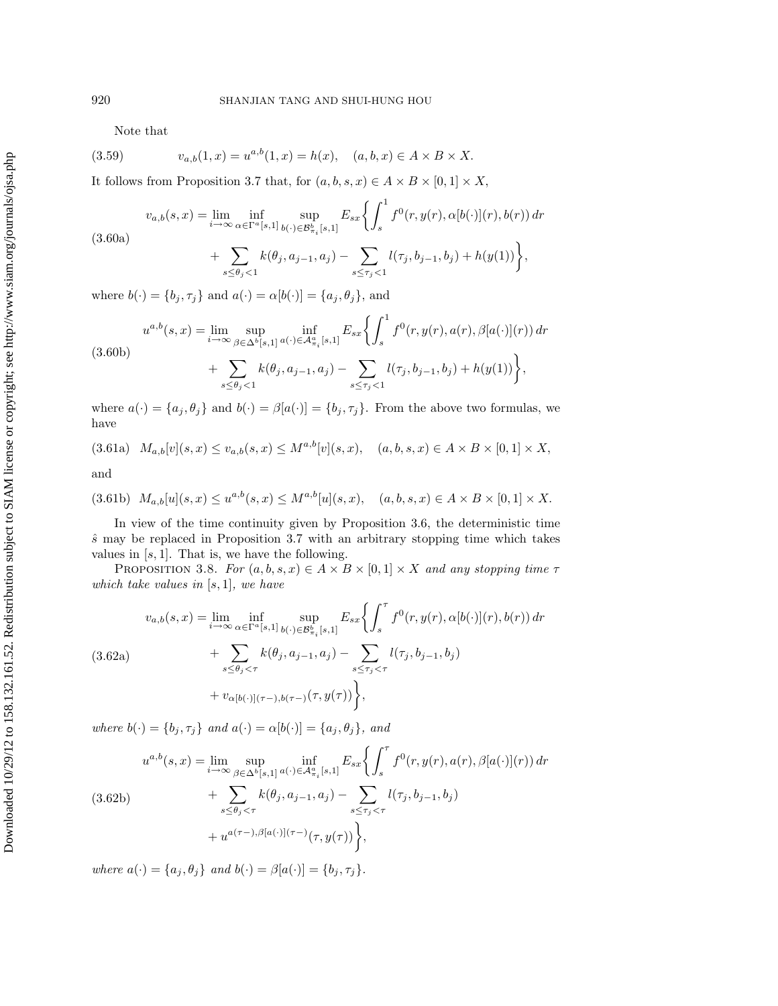Note that

(3.59) 
$$
v_{a,b}(1,x) = u^{a,b}(1,x) = h(x), \quad (a,b,x) \in A \times B \times X.
$$

It follows from Proposition 3.7 that, for  $(a, b, s, x) \in A \times B \times [0, 1] \times X$ ,

$$
v_{a,b}(s,x) = \lim_{i \to \infty} \inf_{\alpha \in \Gamma^a[s,1]} \sup_{b(\cdot) \in \mathcal{B}_{\pi_i}^b[s,1]} E_{sx} \left\{ \int_s^1 f^0(r, y(r), \alpha[b(\cdot)](r), b(r)) dr \right.\n(3.60a) + \sum_{s \le \theta_j < 1} k(\theta_j, a_{j-1}, a_j) - \sum_{s \le \tau_j < 1} l(\tau_j, b_{j-1}, b_j) + h(y(1)) \right\},
$$

where  $b(\cdot) = \{b_j, \tau_j\}$  and  $a(\cdot) = \alpha[b(\cdot)] = \{a_j, \theta_j\}$ , and

$$
u^{a,b}(s,x) = \lim_{i \to \infty} \sup_{\beta \in \Delta^b[s,1]} \inf_{a(\cdot) \in \mathcal{A}^a_{\pi_i}[s,1]} E_{sx} \left\{ \int_s^1 f^0(r, y(r), a(r), \beta[a(\cdot)](r)) dr \right.\n+ \sum_{s \le \theta_j < 1} k(\theta_j, a_{j-1}, a_j) - \sum_{s \le \tau_j < 1} l(\tau_j, b_{j-1}, b_j) + h(y(1)) \right\},
$$

where  $a(\cdot) = \{a_j, \theta_j\}$  and  $b(\cdot) = \beta[a(\cdot)] = \{b_j, \tau_j\}$ . From the above two formulas, we have

$$
(3.61a) \quad M_{a,b}[v](s,x) \le v_{a,b}(s,x) \le M^{a,b}[v](s,x), \quad (a,b,s,x) \in A \times B \times [0,1] \times X,
$$

and

$$
(3.61b)\ M_{a,b}[u](s,x) \le u^{a,b}(s,x) \le M^{a,b}[u](s,x), \quad (a,b,s,x) \in A \times B \times [0,1] \times X.
$$

In view of the time continuity given by Proposition 3.6, the deterministic time  $\hat{s}$  may be replaced in Proposition 3.7 with an arbitrary stopping time which takes values in  $[s, 1]$ . That is, we have the following.

PROPOSITION 3.8. For  $(a, b, s, x) \in A \times B \times [0, 1] \times X$  and any stopping time  $\tau$ which take values in  $[s, 1]$ , we have

$$
v_{a,b}(s,x) = \lim_{i \to \infty} \inf_{\alpha \in \Gamma^a[s,1]} \sup_{b(\cdot) \in \mathcal{B}_{\pi_i}^b[s,1]} E_{sx} \left\{ \int_s^\tau f^0(r, y(r), \alpha[b(\cdot)](r), b(r)) dr + \sum_{s \le \theta_j < \tau} k(\theta_j, a_{j-1}, a_j) - \sum_{s \le \tau_j < \tau} l(\tau_j, b_{j-1}, b_j) + v_{\alpha[b(\cdot)](\tau-), b(\tau-)}(\tau, y(\tau)) \right\},\,
$$

where  $b(\cdot) = \{b_j, \tau_j\}$  and  $a(\cdot) = \alpha[b(\cdot)] = \{a_j, \theta_j\}$ , and

$$
u^{a,b}(s,x) = \lim_{i \to \infty} \sup_{\beta \in \Delta^b[s,1]} \inf_{a(\cdot) \in \mathcal{A}_{\pi_i}^a[s,1]} E_{sx} \left\{ \int_s^\tau f^0(r, y(r), a(r), \beta[a(\cdot)](r)) dr + \sum_{s \le \theta_j < \tau} k(\theta_j, a_{j-1}, a_j) - \sum_{s \le \tau_j < \tau} l(\tau_j, b_{j-1}, b_j) + u^{a(\tau-), \beta[a(\cdot)](\tau-)}(\tau, y(\tau)) \right\},
$$

where  $a(\cdot) = \{a_j, \theta_j\}$  and  $b(\cdot) = \beta[a(\cdot)] = \{b_j, \tau_j\}.$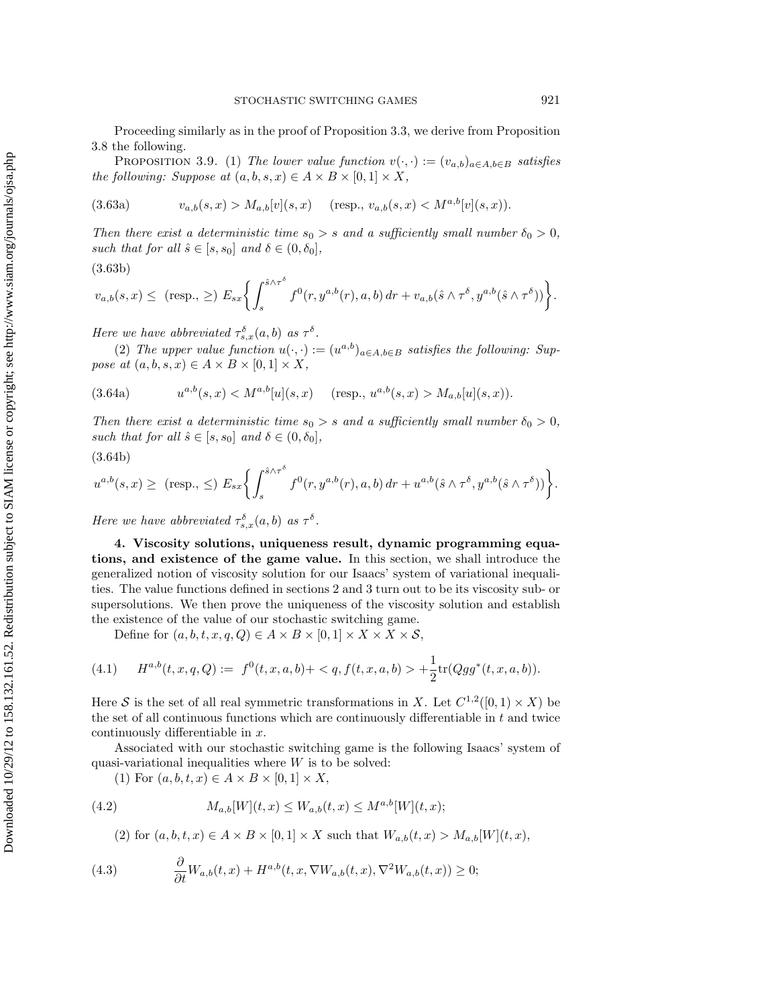Proceeding similarly as in the proof of Proposition 3.3, we derive from Proposition 3.8 the following.

PROPOSITION 3.9. (1) The lower value function  $v(\cdot, \cdot) := (v_{a,b})_{a \in A, b \in B}$  satisfies the following: Suppose at  $(a, b, s, x) \in A \times B \times [0, 1] \times X$ ,

(3.63a) 
$$
v_{a,b}(s,x) > M_{a,b}[v](s,x) \quad (\text{resp., } v_{a,b}(s,x) < M^{a,b}[v](s,x)).
$$

Then there exist a deterministic time  $s_0 > s$  and a sufficiently small number  $\delta_0 > 0$ , such that for all  $\hat{s} \in [s, s_0]$  and  $\delta \in (0, \delta_0]$ ,

$$
(3.63b)
$$

$$
v_{a,b}(s,x) \leq (\text{resp.}, \geq) E_{sx} \bigg\{ \int_s^{\hat{s} \wedge \tau^{\delta}} f^0(r, y^{a,b}(r), a, b) \, dr + v_{a,b}(\hat{s} \wedge \tau^{\delta}, y^{a,b}(\hat{s} \wedge \tau^{\delta})) \bigg\}.
$$

Here we have abbreviated  $\tau_{s,x}^{\delta}(a,b)$  as  $\tau^{\delta}$ .

(2) The upper value function  $u(\cdot, \cdot) := (u^{a,b})_{a \in A, b \in B}$  satisfies the following: Suppose at  $(a, b, s, x) \in A \times B \times [0, 1] \times X$ ,

(3.64a) 
$$
u^{a,b}(s,x) < M^{a,b}[u](s,x)
$$
 (resp.,  $u^{a,b}(s,x) > M_{a,b}[u](s,x)$ ).

Then there exist a deterministic time  $s_0 > s$  and a sufficiently small number  $\delta_0 > 0$ , such that for all  $\hat{s} \in [s, s_0]$  and  $\delta \in (0, \delta_0]$ ,

$$
(3.64b)
$$

$$
u^{a,b}(s,x) \geq \left(\text{resp.}, \leq\right) E_{sx}\bigg\{\int_s^{\hat{s}\wedge\tau^{\delta}} f^0(r, y^{a,b}(r), a, b) \, dr + u^{a,b}(\hat{s}\wedge\tau^{\delta}, y^{a,b}(\hat{s}\wedge\tau^{\delta}))\bigg\}.
$$

Here we have abbreviated  $\tau_{s,x}^{\delta}(a,b)$  as  $\tau^{\delta}$ .

**4. Viscosity solutions, uniqueness result, dynamic programming equations, and existence of the game value.** In this section, we shall introduce the generalized notion of viscosity solution for our Isaacs' system of variational inequalities. The value functions defined in sections 2 and 3 turn out to be its viscosity sub- or supersolutions. We then prove the uniqueness of the viscosity solution and establish the existence of the value of our stochastic switching game.

Define for  $(a, b, t, x, q, Q) \in A \times B \times [0, 1] \times X \times X \times S$ ,

(4.1) 
$$
H^{a,b}(t,x,q,Q) := f^{0}(t,x,a,b) + \langle q, f(t,x,a,b) \rangle + \frac{1}{2} \text{tr}(Qgg^{*}(t,x,a,b)).
$$

Here S is the set of all real symmetric transformations in X. Let  $C^{1,2}([0,1) \times X)$  be the set of all continuous functions which are continuously differentiable in  $t$  and twice continuously differentiable in  $x$ .

Associated with our stochastic switching game is the following Isaacs' system of quasi-variational inequalities where  $W$  is to be solved:

(1) For  $(a, b, t, x) \in A \times B \times [0, 1] \times X$ ,

(4.2) 
$$
M_{a,b}[W](t,x) \le W_{a,b}(t,x) \le M^{a,b}[W](t,x);
$$

(2) for  $(a, b, t, x) \in A \times B \times [0, 1] \times X$  such that  $W_{a,b}(t, x) > M_{a,b}[W](t, x)$ ,

(4.3) 
$$
\frac{\partial}{\partial t}W_{a,b}(t,x) + H^{a,b}(t,x,\nabla W_{a,b}(t,x),\nabla^2 W_{a,b}(t,x)) \geq 0;
$$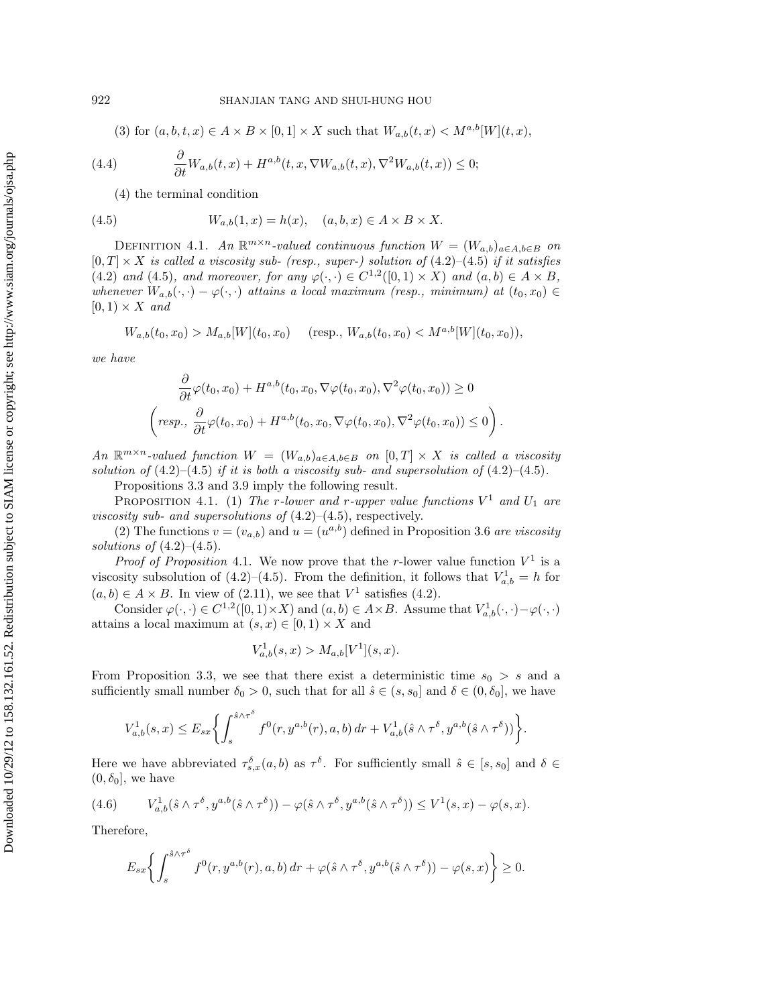(3) for 
$$
(a, b, t, x) \in A \times B \times [0, 1] \times X
$$
 such that  $W_{a,b}(t, x) < M^{a,b}[W](t, x)$ ,

(4.4) 
$$
\frac{\partial}{\partial t}W_{a,b}(t,x) + H^{a,b}(t,x,\nabla W_{a,b}(t,x),\nabla^2 W_{a,b}(t,x)) \leq 0;
$$

(4) the terminal condition

(4.5) 
$$
W_{a,b}(1,x) = h(x), \quad (a,b,x) \in A \times B \times X.
$$

DEFINITION 4.1. An  $\mathbb{R}^{m \times n}$ -valued continuous function  $W = (W_{a,b})_{a \in A, b \in B}$  on  $[0, T] \times X$  is called a viscosity sub- (resp., super-) solution of  $(4.2)$ – $(4.5)$  if it satisfies (4.2) and (4.5), and moreover, for any  $\varphi(\cdot,\cdot) \in C^{1,2}([0,1) \times X)$  and  $(a,b) \in A \times B$ , whenever  $W_{a,b}(\cdot,\cdot) - \varphi(\cdot,\cdot)$  attains a local maximum (resp., minimum) at  $(t_0,x_0) \in$  $[0, 1) \times X$  and

$$
W_{a,b}(t_0, x_0) > M_{a,b}[W](t_0, x_0) \quad (\text{resp., } W_{a,b}(t_0, x_0) < M^{a,b}[W](t_0, x_0)),
$$

we have

$$
\frac{\partial}{\partial t}\varphi(t_0, x_0) + H^{a,b}(t_0, x_0, \nabla \varphi(t_0, x_0), \nabla^2 \varphi(t_0, x_0)) \ge 0
$$
\n
$$
\left(\text{resp., }\frac{\partial}{\partial t}\varphi(t_0, x_0) + H^{a,b}(t_0, x_0, \nabla \varphi(t_0, x_0), \nabla^2 \varphi(t_0, x_0)) \le 0\right).
$$

An  $\mathbb{R}^{m \times n}$ -valued function  $W = (W_{a,b})_{a \in A, b \in B}$  on  $[0, T] \times X$  is called a viscosity solution of  $(4.2)$ – $(4.5)$  if it is both a viscosity sub- and supersolution of  $(4.2)$ – $(4.5)$ .

Propositions 3.3 and 3.9 imply the following result.

PROPOSITION 4.1. (1) The r-lower and r-upper value functions  $V^1$  and  $U_1$  are viscosity sub- and supersolutions of  $(4.2)$ – $(4.5)$ , respectively.

(2) The functions  $v = (v_{a,b})$  and  $u = (u^{a,b})$  defined in Proposition 3.6 are viscosity solutions of  $(4.2)$ – $(4.5)$ .

*Proof of Proposition* 4.1. We now prove that the *r*-lower value function  $V^1$  is a viscosity subsolution of (4.2)–(4.5). From the definition, it follows that  $V_{a,b}^1 = h$  for  $(a, b) \in A \times B$ . In view of (2.11), we see that  $V^1$  satisfies (4.2).

Consider  $\varphi(\cdot,\cdot) \in C^{1,2}([0,1) \times X)$  and  $(a,b) \in A \times B$ . Assume that  $V_{a,b}^1(\cdot,\cdot) - \varphi(\cdot,\cdot)$ attains a local maximum at  $(s, x) \in [0, 1) \times X$  and

$$
V_{a,b}^{1}(s,x) > M_{a,b}[V^{1}](s,x).
$$

From Proposition 3.3, we see that there exist a deterministic time  $s_0 > s$  and a sufficiently small number  $\delta_0 > 0$ , such that for all  $\hat{s} \in (s, s_0]$  and  $\delta \in (0, \delta_0]$ , we have

$$
V_{a,b}^1(s,x) \leq E_{sx} \bigg\{ \int_s^{\hat{s} \wedge \tau^{\delta}} f^0(r, y^{a,b}(r), a, b) dr + V_{a,b}^1(\hat{s} \wedge \tau^{\delta}, y^{a,b}(\hat{s} \wedge \tau^{\delta})) \bigg\}.
$$

Here we have abbreviated  $\tau_{s,x}^{\delta}(a,b)$  as  $\tau^{\delta}$ . For sufficiently small  $\hat{s} \in [s,s_0]$  and  $\delta \in$  $(0, \delta_0]$ , we have

(4.6) 
$$
V_{a,b}^1(\hat{s}\wedge \tau^{\delta},y^{a,b}(\hat{s}\wedge \tau^{\delta})) - \varphi(\hat{s}\wedge \tau^{\delta},y^{a,b}(\hat{s}\wedge \tau^{\delta})) \leq V^1(s,x) - \varphi(s,x).
$$

Therefore,

$$
E_{sx}\biggl\{\int_s^{\hat{s}\wedge\tau^{\delta}}f^0(r,y^{a,b}(r),a,b)\,dr+\varphi(\hat{s}\wedge\tau^{\delta},y^{a,b}(\hat{s}\wedge\tau^{\delta}))-\varphi(s,x)\biggr\}\geq 0.
$$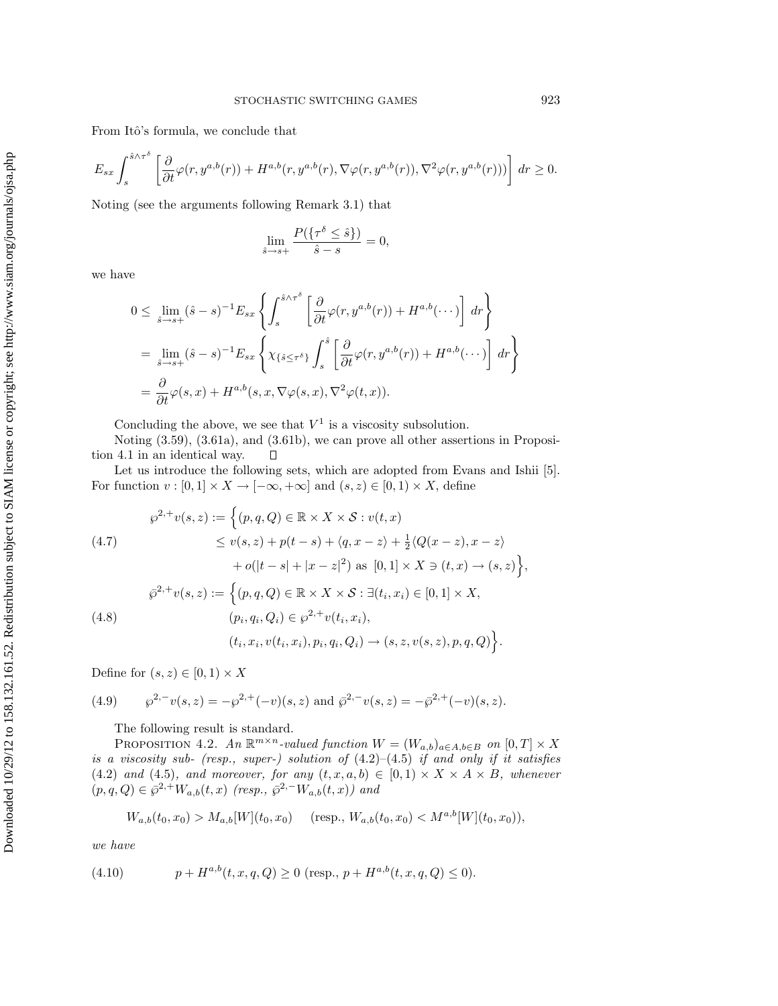From Itô's formula, we conclude that

$$
E_{sx}\int_s^{\hat{s}\wedge\tau^{\delta}}\left[\frac{\partial}{\partial t}\varphi(r,y^{a,b}(r))+H^{a,b}(r,y^{a,b}(r),\nabla\varphi(r,y^{a,b}(r)),\nabla^2\varphi(r,y^{a,b}(r)))\right]\,dr\geq 0.
$$

Noting (see the arguments following Remark 3.1) that

$$
\lim_{\hat{s}\to s+} \frac{P(\{\tau^{\delta} \leq \hat{s}\})}{\hat{s}-s} = 0,
$$

we have

$$
0 \leq \lim_{\hat{s} \to s+} (\hat{s} - s)^{-1} E_{sx} \left\{ \int_s^{\hat{s} \wedge \tau^{\delta}} \left[ \frac{\partial}{\partial t} \varphi(r, y^{a,b}(r)) + H^{a,b}(\cdots) \right] dr \right\}
$$
  
= 
$$
\lim_{\hat{s} \to s+} (\hat{s} - s)^{-1} E_{sx} \left\{ \chi_{\{\hat{s} \leq \tau^{\delta}\}} \int_s^{\hat{s}} \left[ \frac{\partial}{\partial t} \varphi(r, y^{a,b}(r)) + H^{a,b}(\cdots) \right] dr \right\}
$$
  
= 
$$
\frac{\partial}{\partial t} \varphi(s, x) + H^{a,b}(s, x, \nabla \varphi(s, x), \nabla^2 \varphi(t, x)).
$$

Concluding the above, we see that  $V^1$  is a viscosity subsolution.

Noting (3.59), (3.61a), and (3.61b), we can prove all other assertions in Proposition 4.1 in an identical way.  $\Box$ 

Let us introduce the following sets, which are adopted from Evans and Ishii [5]. For function  $v : [0,1] \times X \to [-\infty, +\infty]$  and  $(s, z) \in [0,1] \times X$ , define

(4.7)  
\n
$$
\wp^{2,+}v(s,z) := \left\{ (p,q,Q) \in \mathbb{R} \times X \times S : v(t,x) \leq v(s,z) + p(t-s) + \langle q, x-z \rangle + \frac{1}{2} \langle Q(x-z), x-z \rangle + o(|t-s| + |x-z|^2) \text{ as } [0,1] \times X \ni (t,x) \to (s,z) \right\},
$$
\n
$$
\bar{\wp}^{2,+}v(s,z) := \left\{ (p,q,Q) \in \mathbb{R} \times X \times S : \exists (t_i, x_i) \in [0,1] \times X, (p_i, q_i, Q_i) \in \wp^{2,+}v(t_i, x_i), (t_i, x_i, v(t_i, x_i), p_i, q_i, Q_i) \to (s, z, v(s,z), p, q, Q) \right\}.
$$

Define for  $(s, z) \in [0, 1) \times X$ 

(4.9) 
$$
\wp^{2,-}v(s,z) = -\wp^{2,+}(-v)(s,z) \text{ and } \bar{\wp}^{2,-}v(s,z) = -\bar{\wp}^{2,+}(-v)(s,z).
$$

The following result is standard.

PROPOSITION 4.2. An  $\mathbb{R}^{m \times n}$ -valued function  $W = (W_{a,b})_{a \in A, b \in B}$  on  $[0, T] \times X$ is a viscosity sub- (resp., super-) solution of  $(4.2)$ - $(4.5)$  if and only if it satisfies (4.2) and (4.5), and moreover, for any  $(t, x, a, b) \in [0, 1) \times X \times A \times B$ , whenever  $(p, q, Q) \in \bar{\wp}^{2,+} W_{a,b}(t, x)$  (resp.,  $\bar{\wp}^{2,-} W_{a,b}(t, x)$ ) and

$$
W_{a,b}(t_0, x_0) > M_{a,b}[W](t_0, x_0) \quad (\text{resp., } W_{a,b}(t_0, x_0) < M^{a,b}[W](t_0, x_0)),
$$

we have

$$
(4.10) \t\t p + H^{a,b}(t, x, q, Q) \ge 0 \text{ (resp., } p + H^{a,b}(t, x, q, Q) \le 0).
$$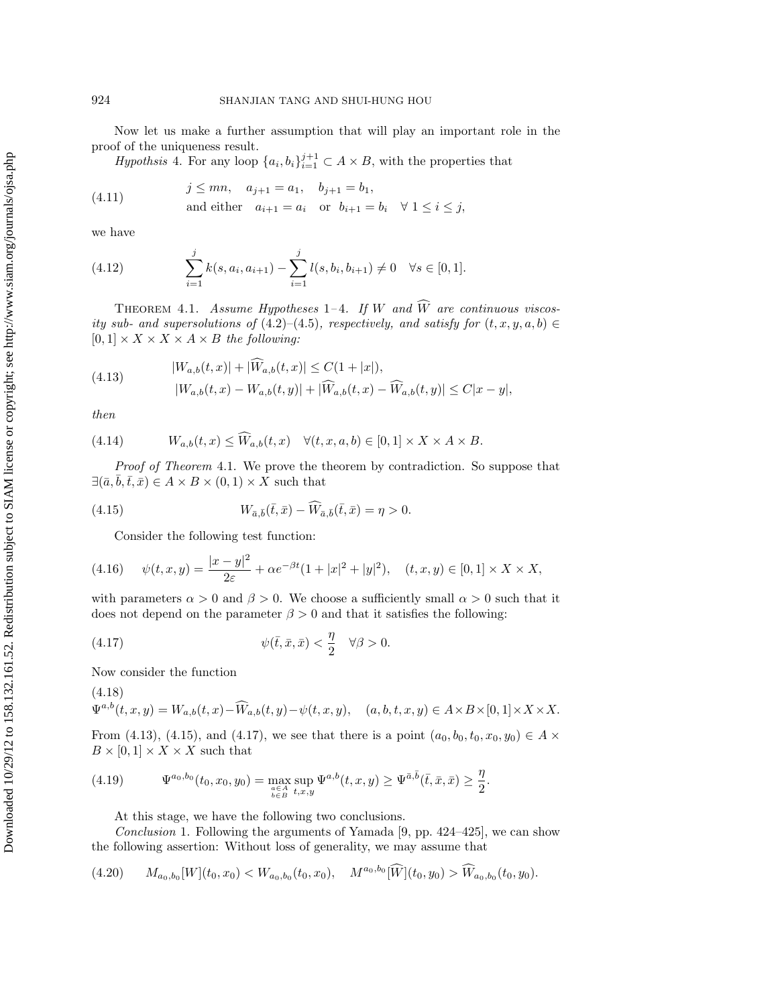Now let us make a further assumption that will play an important role in the proof of the uniqueness result.

*Hypothsis* 4. For any loop  $\{a_i, b_i\}_{i=1}^{j+1} \subset A \times B$ , with the properties that

(4.11) 
$$
j \le mn, \quad a_{j+1} = a_1, \quad b_{j+1} = b_1, \n\text{and either } a_{i+1} = a_i \quad \text{or } b_{i+1} = b_i \quad \forall \ 1 \le i \le j,
$$

we have

(4.12) 
$$
\sum_{i=1}^{j} k(s, a_i, a_{i+1}) - \sum_{i=1}^{j} l(s, b_i, b_{i+1}) \neq 0 \quad \forall s \in [0, 1].
$$

THEOREM 4.1. Assume Hypotheses 1-4. If W and  $\widehat{W}$  are continuous viscosity sub- and supersolutions of  $(4.2)$ – $(4.5)$ , respectively, and satisfy for  $(t, x, y, a, b) \in$  $[0, 1] \times X \times X \times A \times B$  the following:

(4.13) 
$$
|W_{a,b}(t,x)| + |\widehat{W}_{a,b}(t,x)| \leq C(1+|x|),
$$

$$
|W_{a,b}(t,x) - W_{a,b}(t,y)| + |\widehat{W}_{a,b}(t,x) - \widehat{W}_{a,b}(t,y)| \leq C|x-y|,
$$

then

(4.14) 
$$
W_{a,b}(t,x) \leq \widehat{W}_{a,b}(t,x) \quad \forall (t,x,a,b) \in [0,1] \times X \times A \times B.
$$

Proof of Theorem 4.1. We prove the theorem by contradiction. So suppose that  $\exists (\bar{a}, \bar{b}, \bar{t}, \bar{x}) \in A \times B \times (0, 1) \times X$  such that

(4.15) 
$$
W_{\bar{a},\bar{b}}(\bar{t},\bar{x}) - \widehat{W}_{\bar{a},\bar{b}}(\bar{t},\bar{x}) = \eta > 0.
$$

Consider the following test function:

(4.16) 
$$
\psi(t, x, y) = \frac{|x - y|^2}{2\varepsilon} + \alpha e^{-\beta t} (1 + |x|^2 + |y|^2), \quad (t, x, y) \in [0, 1] \times X \times X,
$$

with parameters  $\alpha > 0$  and  $\beta > 0$ . We choose a sufficiently small  $\alpha > 0$  such that it does not depend on the parameter  $\beta > 0$  and that it satisfies the following:

(4.17) 
$$
\psi(\bar{t}, \bar{x}, \bar{x}) < \frac{\eta}{2} \quad \forall \beta > 0.
$$

Now consider the function

(4.18)

$$
\Psi^{a,b}(t,x,y) = W_{a,b}(t,x) - \widehat{W}_{a,b}(t,y) - \psi(t,x,y), \quad (a,b,t,x,y) \in A \times B \times [0,1] \times X \times X.
$$

From (4.13), (4.15), and (4.17), we see that there is a point  $(a_0, b_0, t_0, x_0, y_0) \in A \times$  $B \times [0,1] \times X \times X$  such that

(4.19) 
$$
\Psi^{a_0,b_0}(t_0,x_0,y_0) = \max_{\substack{a \in A \\ b \in B}} \sup_{t,x,y} \Psi^{a,b}(t,x,y) \ge \Psi^{\bar{a},\bar{b}}(\bar{t},\bar{x},\bar{x}) \ge \frac{\eta}{2}.
$$

At this stage, we have the following two conclusions.

Conclusion 1. Following the arguments of Yamada  $[9, pp. 424-425]$ , we can show the following assertion: Without loss of generality, we may assume that

$$
(4.20) \t M_{a_0,b_0}[W](t_0,x_0) < W_{a_0,b_0}(t_0,x_0), \quad M^{a_0,b_0}[\widehat{W}](t_0,y_0) > \widehat{W}_{a_0,b_0}(t_0,y_0).
$$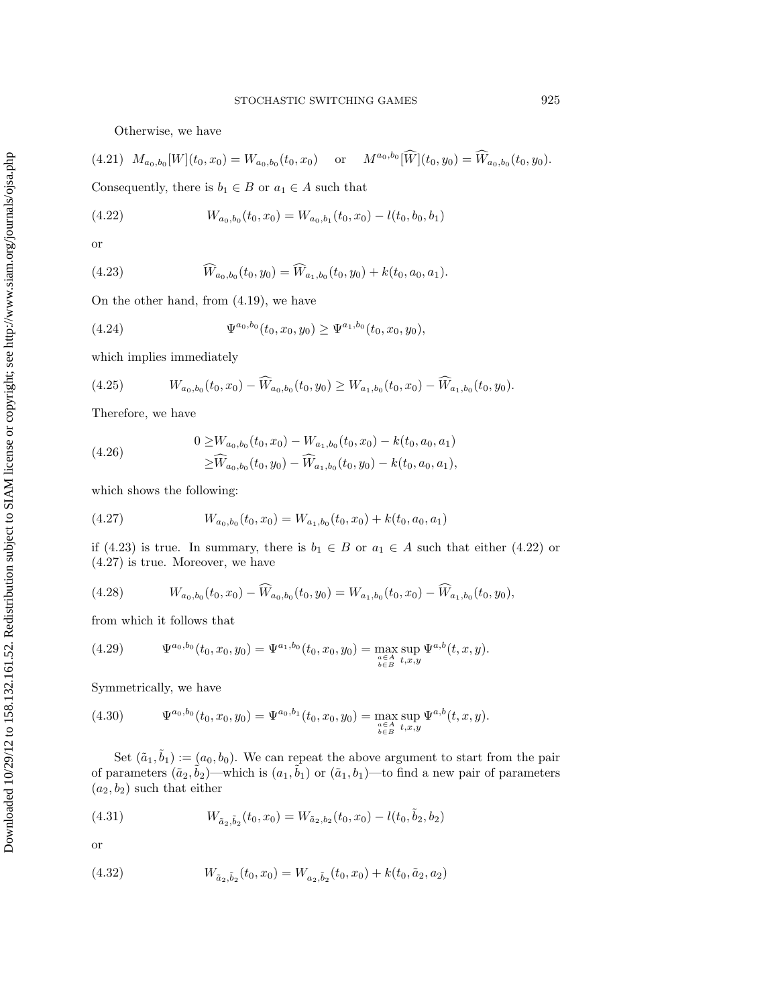Otherwise, we have

$$
(4.21) \quad M_{a_0,b_0}[W](t_0,x_0) = W_{a_0,b_0}(t_0,x_0) \quad \text{or} \quad M^{a_0,b_0}[\widehat{W}](t_0,y_0) = \widehat{W}_{a_0,b_0}(t_0,y_0).
$$

Consequently, there is  $b_1 \in B$  or  $a_1 \in A$  such that

$$
(4.22) \t W_{a_0,b_0}(t_0,x_0) = W_{a_0,b_1}(t_0,x_0) - l(t_0,b_0,b_1)
$$

or

(4.23) 
$$
\widehat{W}_{a_0,b_0}(t_0,y_0)=\widehat{W}_{a_1,b_0}(t_0,y_0)+k(t_0,a_0,a_1).
$$

On the other hand, from (4.19), we have

(4.24) 
$$
\Psi^{a_0,b_0}(t_0,x_0,y_0) \ge \Psi^{a_1,b_0}(t_0,x_0,y_0),
$$

which implies immediately

$$
(4.25) \t W_{a_0,b_0}(t_0,x_0) - \widehat{W}_{a_0,b_0}(t_0,y_0) \geq W_{a_1,b_0}(t_0,x_0) - \widehat{W}_{a_1,b_0}(t_0,y_0).
$$

Therefore, we have

(4.26) 
$$
0 \geq W_{a_0,b_0}(t_0, x_0) - W_{a_1,b_0}(t_0, x_0) - k(t_0, a_0, a_1)
$$

$$
\geq \widehat{W}_{a_0,b_0}(t_0, y_0) - \widehat{W}_{a_1,b_0}(t_0, y_0) - k(t_0, a_0, a_1),
$$

which shows the following:

(4.27) 
$$
W_{a_0,b_0}(t_0,x_0) = W_{a_1,b_0}(t_0,x_0) + k(t_0,a_0,a_1)
$$

if (4.23) is true. In summary, there is  $b_1 \in B$  or  $a_1 \in A$  such that either (4.22) or (4.27) is true. Moreover, we have

$$
(4.28) \t W_{a_0,b_0}(t_0,x_0) - \widehat{W}_{a_0,b_0}(t_0,y_0) = W_{a_1,b_0}(t_0,x_0) - \widehat{W}_{a_1,b_0}(t_0,y_0),
$$

from which it follows that

(4.29) 
$$
\Psi^{a_0,b_0}(t_0,x_0,y_0)=\Psi^{a_1,b_0}(t_0,x_0,y_0)=\max_{\substack{a\in A\\b\in B}}\sup_{t,x,y}\Psi^{a,b}(t,x,y).
$$

Symmetrically, we have

(4.30) 
$$
\Psi^{a_0,b_0}(t_0,x_0,y_0)=\Psi^{a_0,b_1}(t_0,x_0,y_0)=\max_{\substack{a\in A\\b\in B}}\sup_{t,x,y}\Psi^{a,b}(t,x,y).
$$

Set  $(\tilde{a}_1, \tilde{b}_1) := (a_0, b_0)$ . We can repeat the above argument to start from the pair of parameters  $(\tilde{a}_2, \tilde{b}_2)$ —which is  $(a_1, \tilde{b}_1)$  or  $(\tilde{a}_1, b_1)$ —to find a new pair of parameters  $(a_2, b_2)$  such that either

(4.31) 
$$
W_{\tilde{a}_2, \tilde{b}_2}(t_0, x_0) = W_{\tilde{a}_2, b_2}(t_0, x_0) - l(t_0, \tilde{b}_2, b_2)
$$

or

(4.32) 
$$
W_{\tilde{a}_2,\tilde{b}_2}(t_0,x_0) = W_{a_2,\tilde{b}_2}(t_0,x_0) + k(t_0,\tilde{a}_2,a_2)
$$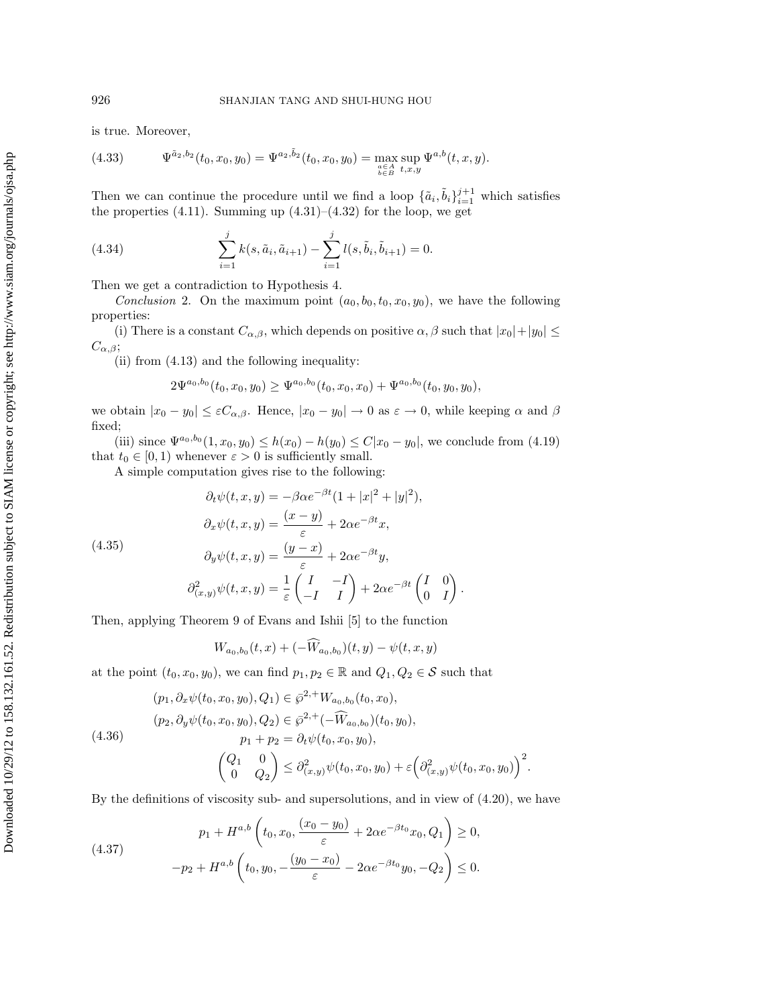is true. Moreover,

(4.33) 
$$
\Psi^{\tilde{a}_2, b_2}(t_0, x_0, y_0) = \Psi^{a_2, \tilde{b}_2}(t_0, x_0, y_0) = \max_{\substack{a \in A \\ b \in B}} \sup_{t, x, y} \Psi^{a, b}(t, x, y).
$$

Then we can continue the procedure until we find a loop  $\{\tilde{a}_i, \tilde{b}_i\}_{i=1}^{j+1}$  which satisfies the properties  $(4.11)$ . Summing up  $(4.31)$ – $(4.32)$  for the loop, we get

(4.34) 
$$
\sum_{i=1}^{j} k(s, \tilde{a}_i, \tilde{a}_{i+1}) - \sum_{i=1}^{j} l(s, \tilde{b}_i, \tilde{b}_{i+1}) = 0.
$$

Then we get a contradiction to Hypothesis 4.

Conclusion 2. On the maximum point  $(a_0, b_0, t_0, x_0, y_0)$ , we have the following properties:

(i) There is a constant  $C_{\alpha,\beta}$ , which depends on positive  $\alpha, \beta$  such that  $|x_0|+|y_0| \leq$  $C_{\alpha,\beta};$ 

(ii) from (4.13) and the following inequality:

$$
2\Psi^{a_0,b_0}(t_0,x_0,y_0)\geq \Psi^{a_0,b_0}(t_0,x_0,x_0)+\Psi^{a_0,b_0}(t_0,y_0,y_0),
$$

we obtain  $|x_0 - y_0| \leq \varepsilon C_{\alpha,\beta}$ . Hence,  $|x_0 - y_0| \to 0$  as  $\varepsilon \to 0$ , while keeping  $\alpha$  and  $\beta$ fixed;

(iii) since  $\Psi^{a_0, b_0}(1, x_0, y_0) \leq h(x_0) - h(y_0) \leq C|x_0 - y_0|$ , we conclude from (4.19) that  $t_0 \in [0, 1)$  whenever  $\varepsilon > 0$  is sufficiently small.

A simple computation gives rise to the following:

$$
\partial_t \psi(t, x, y) = -\beta \alpha e^{-\beta t} (1 + |x|^2 + |y|^2),
$$
  
\n
$$
\partial_x \psi(t, x, y) = \frac{(x - y)}{\varepsilon} + 2\alpha e^{-\beta t} x,
$$
  
\n
$$
\partial_y \psi(t, x, y) = \frac{(y - x)}{\varepsilon} + 2\alpha e^{-\beta t} y,
$$
  
\n
$$
\partial_{(x, y)}^2 \psi(t, x, y) = \frac{1}{\varepsilon} \begin{pmatrix} I & -I \\ -I & I \end{pmatrix} + 2\alpha e^{-\beta t} \begin{pmatrix} I & 0 \\ 0 & I \end{pmatrix}
$$

Then, applying Theorem 9 of Evans and Ishii [5] to the function

 $W_{a_0,b_0}(t,x)+(-W_{a_0,b_0})(t,y)-\psi(t,x,y)$ 

 $0 \quad I$ 

 $\overline{\phantom{0}}$ .

at the point  $(t_0, x_0, y_0)$ , we can find  $p_1, p_2 \in \mathbb{R}$  and  $Q_1, Q_2 \in \mathcal{S}$  such that

$$
(p_1, \partial_x \psi(t_0, x_0, y_0), Q_1) \in \bar{\wp}^{2,+} W_{a_0, b_0}(t_0, x_0),
$$
  
\n
$$
(p_2, \partial_y \psi(t_0, x_0, y_0), Q_2) \in \bar{\wp}^{2,+}(-\widehat{W}_{a_0, b_0})(t_0, y_0),
$$
  
\n
$$
(4.36)
$$
  
\n
$$
\begin{pmatrix} Q_1 & 0 \\ 0 & Q_2 \end{pmatrix} \leq \partial_{(x,y)}^2 \psi(t_0, x_0, y_0) + \varepsilon \Big(\partial_{(x,y)}^2 \psi(t_0, x_0, y_0)\Big)^2.
$$

By the definitions of viscosity sub- and supersolutions, and in view of (4.20), we have

(4.37) 
$$
p_1 + H^{a,b} \left( t_0, x_0, \frac{(x_0 - y_0)}{\varepsilon} + 2\alpha e^{-\beta t_0} x_0, Q_1 \right) \ge 0,
$$

$$
-p_2 + H^{a,b} \left( t_0, y_0, -\frac{(y_0 - x_0)}{\varepsilon} - 2\alpha e^{-\beta t_0} y_0, -Q_2 \right) \le 0.
$$

(4.35)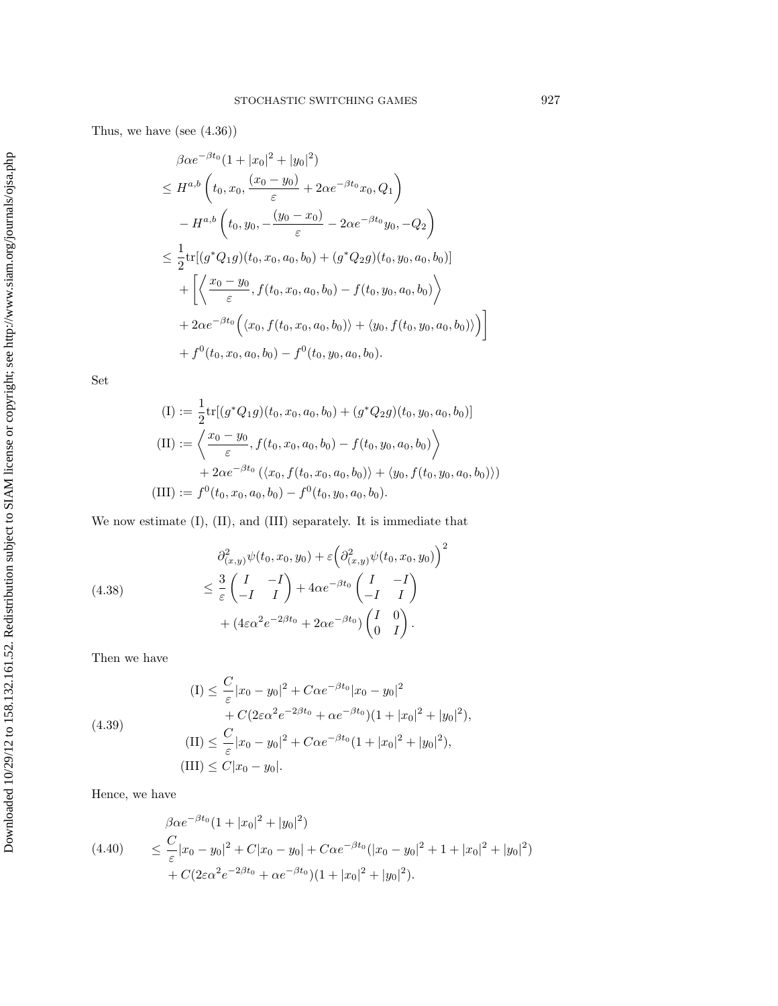Thus, we have (see (4.36))

$$
\beta \alpha e^{-\beta t_0} (1+|x_0|^2+|y_0|^2)
$$
\n
$$
\leq H^{a,b} \left( t_0, x_0, \frac{(x_0-y_0)}{\varepsilon} + 2\alpha e^{-\beta t_0} x_0, Q_1 \right)
$$
\n
$$
- H^{a,b} \left( t_0, y_0, -\frac{(y_0-x_0)}{\varepsilon} - 2\alpha e^{-\beta t_0} y_0, -Q_2 \right)
$$
\n
$$
\leq \frac{1}{2} \text{tr}[(g^* Q_1 g)(t_0, x_0, a_0, b_0) + (g^* Q_2 g)(t_0, y_0, a_0, b_0)]
$$
\n
$$
+ \left[ \left\langle \frac{x_0-y_0}{\varepsilon}, f(t_0, x_0, a_0, b_0) - f(t_0, y_0, a_0, b_0) \right\rangle \right.
$$
\n
$$
+ 2\alpha e^{-\beta t_0} \left( \langle x_0, f(t_0, x_0, a_0, b_0) \rangle + \langle y_0, f(t_0, y_0, a_0, b_0) \rangle \right) \right]
$$
\n
$$
+ f^0(t_0, x_0, a_0, b_0) - f^0(t_0, y_0, a_0, b_0).
$$

Set

$$
\begin{aligned} \n(\text{I}) &:= \frac{1}{2} \text{tr}[(g^*Q_1g)(t_0, x_0, a_0, b_0) + (g^*Q_2g)(t_0, y_0, a_0, b_0)] \\ \n(\text{II}) &:= \left\langle \frac{x_0 - y_0}{\varepsilon}, f(t_0, x_0, a_0, b_0) - f(t_0, y_0, a_0, b_0) \right\rangle \\ \n&\quad + 2\alpha e^{-\beta t_0} \left( \langle x_0, f(t_0, x_0, a_0, b_0) \rangle + \langle y_0, f(t_0, y_0, a_0, b_0) \rangle \right) \\ \n(\text{III}) &:= f^0(t_0, x_0, a_0, b_0) - f^0(t_0, y_0, a_0, b_0). \n\end{aligned}
$$

We now estimate  $(I)$ ,  $(II)$ , and  $(III)$  separately. It is immediate that

(4.38) 
$$
\begin{aligned}\n\partial_{(x,y)}^2 \psi(t_0, x_0, y_0) + \varepsilon \left( \partial_{(x,y)}^2 \psi(t_0, x_0, y_0) \right)^2 \\
&\leq \frac{3}{\varepsilon} \left( \frac{I}{-I} - \frac{I}{I} \right) + 4\alpha e^{-\beta t_0} \left( \frac{I}{-I} - \frac{I}{I} \right) \\
&+ (4\varepsilon \alpha^2 e^{-2\beta t_0} + 2\alpha e^{-\beta t_0}) \left( \frac{I}{0} - \frac{0}{I} \right).\n\end{aligned}
$$

Then we have

(4.39)  
\n
$$
(I) \leq \frac{C}{\varepsilon}|x_0 - y_0|^2 + C\alpha e^{-\beta t_0}|x_0 - y_0|^2
$$
\n
$$
+ C(2\varepsilon \alpha^2 e^{-2\beta t_0} + \alpha e^{-\beta t_0})(1 + |x_0|^2 + |y_0|^2),
$$
\n
$$
(II) \leq \frac{C}{\varepsilon}|x_0 - y_0|^2 + C\alpha e^{-\beta t_0}(1 + |x_0|^2 + |y_0|^2),
$$
\n
$$
(III) \leq C|x_0 - y_0|.
$$

Hence, we have

$$
(4.40) \qquad \beta \alpha e^{-\beta t_0} (1+|x_0|^2+|y_0|^2)
$$
\n
$$
\leq \frac{C}{\varepsilon} |x_0 - y_0|^2 + C|x_0 - y_0| + C\alpha e^{-\beta t_0} (|x_0 - y_0|^2 + 1 + |x_0|^2 + |y_0|^2)
$$
\n
$$
+ C(2\varepsilon \alpha^2 e^{-2\beta t_0} + \alpha e^{-\beta t_0}) (1+|x_0|^2 + |y_0|^2).
$$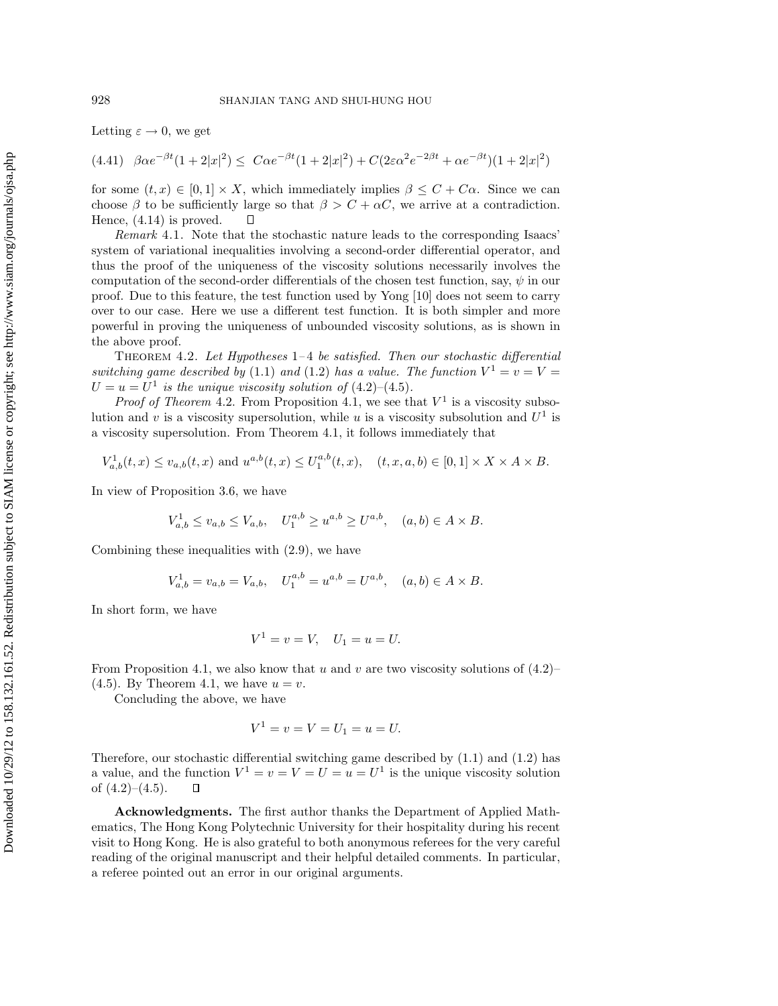Letting  $\varepsilon \to 0$ , we get

$$
(4.41)\ \beta\alpha e^{-\beta t}(1+2|x|^2) \leq C\alpha e^{-\beta t}(1+2|x|^2) + C(2\varepsilon\alpha^2 e^{-2\beta t} + \alpha e^{-\beta t})(1+2|x|^2)
$$

for some  $(t, x) \in [0, 1] \times X$ , which immediately implies  $\beta \leq C + C\alpha$ . Since we can choose  $\beta$  to be sufficiently large so that  $\beta > C + \alpha C$ , we arrive at a contradiction. Hence, (4.14) is proved.  $\Box$ 

Remark 4.1. Note that the stochastic nature leads to the corresponding Isaacs' system of variational inequalities involving a second-order differential operator, and thus the proof of the uniqueness of the viscosity solutions necessarily involves the computation of the second-order differentials of the chosen test function, say,  $\psi$  in our proof. Due to this feature, the test function used by Yong [10] does not seem to carry over to our case. Here we use a different test function. It is both simpler and more powerful in proving the uniqueness of unbounded viscosity solutions, as is shown in the above proof.

THEOREM 4.2. Let Hypotheses 1-4 be satisfied. Then our stochastic differential switching game described by (1.1) and (1.2) has a value. The function  $V^1 = v = V =$  $U = u = U^1$  is the unique viscosity solution of  $(4.2)$ – $(4.5)$ .

*Proof of Theorem 4.2.* From Proposition 4.1, we see that  $V^1$  is a viscosity subsolution and v is a viscosity supersolution, while u is a viscosity subsolution and  $U^1$  is a viscosity supersolution. From Theorem 4.1, it follows immediately that

$$
V_{a,b}^1(t,x) \le v_{a,b}(t,x) \text{ and } u^{a,b}(t,x) \le U_1^{a,b}(t,x), \quad (t,x,a,b) \in [0,1] \times X \times A \times B.
$$

In view of Proposition 3.6, we have

$$
V_{a,b}^1 \le v_{a,b} \le V_{a,b}, \quad U_1^{a,b} \ge u^{a,b} \ge U^{a,b}, \quad (a,b) \in A \times B.
$$

Combining these inequalities with (2.9), we have

$$
V_{a,b}^1 = v_{a,b} = V_{a,b}, \quad U_1^{a,b} = u^{a,b} = U^{a,b}, \quad (a,b) \in A \times B.
$$

In short form, we have

$$
V^1 = v = V, \quad U_1 = u = U.
$$

From Proposition 4.1, we also know that u and v are two viscosity solutions of  $(4.2)$ – (4.5). By Theorem 4.1, we have  $u = v$ .

Concluding the above, we have

$$
V^1 = v = V = U_1 = u = U.
$$

Therefore, our stochastic differential switching game described by (1.1) and (1.2) has a value, and the function  $V^1 = v = V = U = u = U^1$  is the unique viscosity solution of  $(4.2)$ – $(4.5)$ .  $\Box$ 

**Acknowledgments.** The first author thanks the Department of Applied Mathematics, The Hong Kong Polytechnic University for their hospitality during his recent visit to Hong Kong. He is also grateful to both anonymous referees for the very careful reading of the original manuscript and their helpful detailed comments. In particular, a referee pointed out an error in our original arguments.